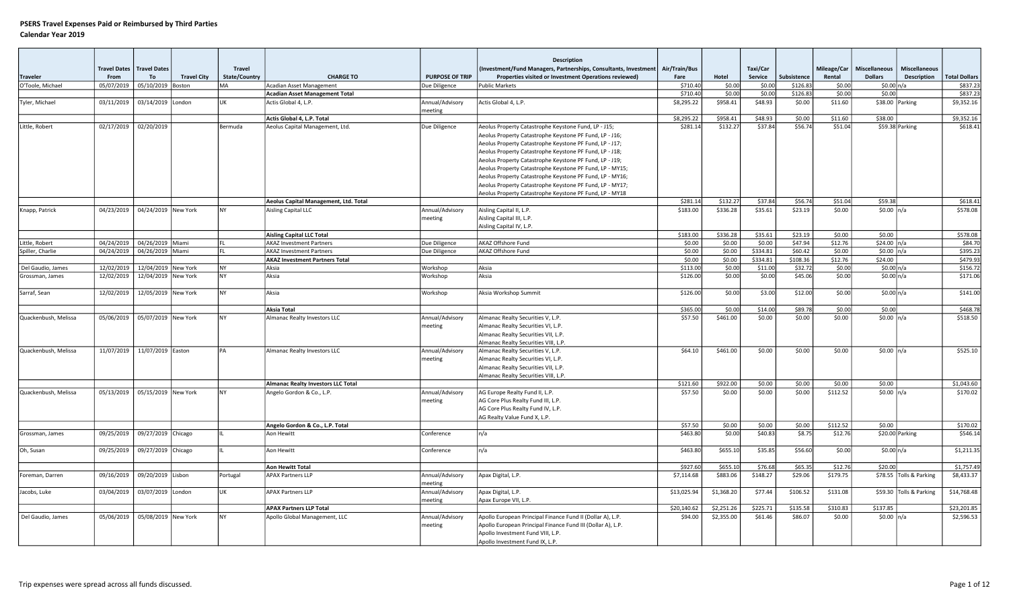|                      | <b>Travel Dates</b> | <b>Travel Dates</b>            |                    | <b>Travel</b>        |                                           |                            | <b>Description</b><br>(Investment/Fund Managers, Partnerships, Consultants, Investment   Air/Train/Bus               |             |            | Taxi/Car |             | Mileage/Car | <b>Miscellaneous</b> | Miscellaneous           |                      |
|----------------------|---------------------|--------------------------------|--------------------|----------------------|-------------------------------------------|----------------------------|----------------------------------------------------------------------------------------------------------------------|-------------|------------|----------|-------------|-------------|----------------------|-------------------------|----------------------|
| <b>Traveler</b>      | From                | To                             | <b>Travel City</b> | <b>State/Country</b> | <b>CHARGE TO</b>                          | <b>PURPOSE OF TRIP</b>     | Properties visited or Investment Operations reviewed)                                                                | Fare        | Hotel      | Service  | Subsistence | Rental      | <b>Dollars</b>       | <b>Description</b>      | <b>Total Dollars</b> |
| O'Toole, Michael     | 05/07/2019          | 05/10/2019                     | Boston             | <b>MA</b>            | Acadian Asset Management                  | Due Diligence              | <b>Public Markets</b>                                                                                                | \$710.40    | \$0.00     | \$0.00   | \$126.83    | \$0.00      | \$0.00 n/a           |                         | \$837.23             |
|                      |                     |                                |                    |                      | <b>Acadian Asset Management Total</b>     |                            |                                                                                                                      | \$710.40    | \$0.00     | \$0.00   | \$126.83    | \$0.00      | \$0.00               |                         | \$837.23             |
| Tyler, Michael       | 03/11/2019          | 03/14/2019 London              |                    | UK                   | Actis Global 4. L.P.                      | Annual/Advisory            | Actis Global 4. L.P.                                                                                                 | \$8,295.22  | \$958.41   | \$48.93  | \$0.00      | \$11.60     | \$38.00 Parking      |                         | \$9,352.16           |
|                      |                     |                                |                    |                      |                                           | meeting                    |                                                                                                                      |             |            |          |             |             |                      |                         |                      |
|                      |                     |                                |                    |                      | Actis Global 4, L.P. Total                |                            |                                                                                                                      | \$8,295.22  | \$958.41   | \$48.93  | \$0.00      | \$11.60     | \$38.00              |                         | \$9,352.16           |
| Little, Robert       |                     | 02/17/2019 02/20/2019          |                    | Bermuda              | Aeolus Capital Management, Ltd.           | Due Diligence              | Aeolus Property Catastrophe Keystone Fund, LP - J15;                                                                 | \$281.14    | \$132.27   | \$37.84  | \$56.74     | \$51.04     |                      | \$59.38 Parking         | \$618.41             |
|                      |                     |                                |                    |                      |                                           |                            | Aeolus Property Catastrophe Keystone PF Fund, LP - J16;                                                              |             |            |          |             |             |                      |                         |                      |
|                      |                     |                                |                    |                      |                                           |                            | Aeolus Property Catastrophe Keystone PF Fund, LP - J17;                                                              |             |            |          |             |             |                      |                         |                      |
|                      |                     |                                |                    |                      |                                           |                            | Aeolus Property Catastrophe Keystone PF Fund, LP - J18;                                                              |             |            |          |             |             |                      |                         |                      |
|                      |                     |                                |                    |                      |                                           |                            | Aeolus Property Catastrophe Keystone PF Fund, LP - J19;                                                              |             |            |          |             |             |                      |                         |                      |
|                      |                     |                                |                    |                      |                                           |                            | Aeolus Property Catastrophe Keystone PF Fund, LP - MY15;                                                             |             |            |          |             |             |                      |                         |                      |
|                      |                     |                                |                    |                      |                                           |                            | Aeolus Property Catastrophe Keystone PF Fund, LP - MY16;<br>Aeolus Property Catastrophe Keystone PF Fund, LP - MY17; |             |            |          |             |             |                      |                         |                      |
|                      |                     |                                |                    |                      |                                           |                            | Aeolus Property Catastrophe Keystone PF Fund, LP - MY18                                                              |             |            |          |             |             |                      |                         |                      |
|                      |                     |                                |                    |                      | Aeolus Capital Management, Ltd. Total     |                            |                                                                                                                      | \$281.14    | \$132.27   | \$37.84  | \$56.74     | \$51.04     | \$59.38              |                         | \$618.41             |
| Knapp, Patrick       | 04/23/2019          | 04/24/2019 New York            |                    | <b>NY</b>            | <b>Aisling Capital LLC</b>                | Annual/Advisory            | Aisling Capital II, L.P.                                                                                             | \$183.00    | \$336.28   | \$35.61  | \$23.19     | \$0.00      | \$0.00 $n/a$         |                         | \$578.08             |
|                      |                     |                                |                    |                      |                                           | meeting                    | Aisling Capital III, L.P.                                                                                            |             |            |          |             |             |                      |                         |                      |
|                      |                     |                                |                    |                      |                                           |                            | Aisling Capital IV, L.P.                                                                                             |             |            |          |             |             |                      |                         |                      |
|                      |                     |                                |                    |                      | <b>Aisling Capital LLC Total</b>          |                            |                                                                                                                      | \$183.00    | \$336.28   | \$35.61  | \$23.19     | \$0.00      | \$0.00               |                         | \$578.08             |
| Little, Robert       | 04/24/2019          | 04/26/2019 Miami               |                    |                      | <b>AKAZ Investment Partners</b>           | Due Diligence              | AKAZ Offshore Fund                                                                                                   | \$0.00      | \$0.00     | \$0.00   | \$47.94     | \$12.76     | \$24.00 n/a          |                         | \$84.70              |
| Spiller, Charlie     | 04/24/2019          | 04/26/2019 Miami               |                    | FL.                  | <b>AKAZ Investment Partners</b>           | Due Diligence              | AKAZ Offshore Fund                                                                                                   | \$0.00      | \$0.00     | \$334.81 | \$60.42     | \$0.00      | \$0.00 n/a           |                         | \$395.23             |
|                      |                     |                                |                    |                      | <b>AKAZ Investment Partners Total</b>     |                            |                                                                                                                      | \$0.00      | \$0.00     | \$334.81 | \$108.36    | \$12.76     | \$24.00              |                         | \$479.93             |
| Del Gaudio, James    | 12/02/2019          | 12/04/2019 New York            |                    | <b>NY</b>            | Aksia                                     | Workshop                   | Aksia                                                                                                                | \$113.00    | \$0.00     | \$11.00  | \$32.72     | \$0.00      | \$0.00 n/a           |                         | \$156.72             |
| Grossman, James      | 12/02/2019          | 12/04/2019 New York            |                    | <b>NY</b>            | Aksia                                     | Workshop                   | Aksia                                                                                                                | \$126.00    | \$0.00     | \$0.00   | \$45.06     | \$0.00      | \$0.00 n/a           |                         | \$171.06             |
| Sarraf, Sean         | 12/02/2019          | 12/05/2019 New York            |                    | <b>NY</b>            | Aksia                                     | Workshop                   | Aksia Workshop Summit                                                                                                | \$126.00    | \$0.00     | \$3.00   | \$12.00     | \$0.00      | \$0.00 n/a           |                         | \$141.00             |
|                      |                     |                                |                    |                      | <b>Aksia Total</b>                        |                            |                                                                                                                      | \$365.00    | \$0.00     | \$14.00  | \$89.78     | \$0.00      | \$0.00               |                         | \$468.78             |
| Quackenbush, Melissa | 05/06/2019          | 05/07/2019 New York            |                    | <b>NY</b>            | Almanac Realty Investors LLC              | Annual/Advisory            | Almanac Realty Securities V, L.P.                                                                                    | \$57.50     | \$461.00   | \$0.00   | \$0.00      | \$0.00      | \$0.00 $n/a$         |                         | \$518.50             |
|                      |                     |                                |                    |                      |                                           | meeting                    | Almanac Realty Securities VI, L.P.                                                                                   |             |            |          |             |             |                      |                         |                      |
|                      |                     |                                |                    |                      |                                           |                            | Almanac Realty Securities VII, L.P.                                                                                  |             |            |          |             |             |                      |                         |                      |
|                      |                     |                                |                    |                      |                                           |                            | Almanac Realty Securities VIII, L.P.                                                                                 |             |            |          |             |             |                      |                         |                      |
| Quackenbush, Melissa |                     | 11/07/2019 11/07/2019 Easton   |                    | PA                   | Almanac Realty Investors LLC              | Annual/Advisory            | Almanac Realty Securities V, L.P.                                                                                    | \$64.10     | \$461.00   | \$0.00   | \$0.00      | \$0.00      | \$0.00 n/a           |                         | \$525.10             |
|                      |                     |                                |                    |                      |                                           | meeting                    | Almanac Realty Securities VI, L.P.                                                                                   |             |            |          |             |             |                      |                         |                      |
|                      |                     |                                |                    |                      |                                           |                            | Almanac Realty Securities VII, L.P.                                                                                  |             |            |          |             |             |                      |                         |                      |
|                      |                     |                                |                    |                      |                                           |                            | Almanac Realty Securities VIII, L.P                                                                                  |             |            |          |             |             |                      |                         |                      |
|                      |                     |                                |                    |                      | <b>Almanac Realty Investors LLC Total</b> |                            |                                                                                                                      | \$121.60    | \$922.00   | \$0.00   | \$0.00      | \$0.00      | \$0.00               |                         | \$1,043.60           |
| Quackenbush, Melissa |                     | 05/13/2019 05/15/2019 New York |                    | <b>NY</b>            | Angelo Gordon & Co., L.P.                 | Annual/Advisory            | AG Europe Realty Fund II, L.P.                                                                                       | \$57.50     | \$0.00     | \$0.00   | \$0.00      | \$112.52    | \$0.00 $n/a$         |                         | \$170.02             |
|                      |                     |                                |                    |                      |                                           | neeting                    | AG Core Plus Realty Fund III, L.P<br>AG Core Plus Realty Fund IV, L.P.                                               |             |            |          |             |             |                      |                         |                      |
|                      |                     |                                |                    |                      |                                           |                            | AG Realty Value Fund X, L.P.                                                                                         |             |            |          |             |             |                      |                         |                      |
|                      |                     |                                |                    |                      | Angelo Gordon & Co., L.P. Total           |                            |                                                                                                                      | \$57.50     | \$0.00     | \$0.00   | \$0.00      | \$112.52    | \$0.00               |                         | \$170.02             |
| Grossman, James      | 09/25/2019          | 09/27/2019 Chicago             |                    |                      | Aon Hewitt                                | Conference                 | n/a                                                                                                                  | \$463.80    | \$0.00     | \$40.83  | \$8.75      | \$12.76     |                      | \$20.00 Parking         | \$546.14             |
| Oh, Susan            | 09/25/2019          | 09/27/2019 Chicago             |                    |                      | Aon Hewitt                                | Conference                 | n/a                                                                                                                  | \$463.80    | \$655.10   | \$35.85  | \$56.60     | \$0.00      | \$0.00 n/a           |                         | \$1,211.35           |
|                      |                     |                                |                    |                      |                                           |                            |                                                                                                                      |             |            |          |             |             |                      |                         |                      |
|                      |                     |                                |                    |                      | Aon Hewitt Total                          |                            |                                                                                                                      | \$927.60    | \$655.10   | \$76.68  | \$65.35     | \$12.76     | \$20.00              |                         | \$1,757.49           |
| Foreman, Darren      | 09/16/2019          | 09/20/2019 Lisbon              |                    | Portugal             | <b>APAX Partners LLP</b>                  | Annual/Advisory<br>neeting | Apax Digital, L.P.                                                                                                   | \$7,114.68  | \$883.06   | \$148.27 | \$29.06     | \$179.75    |                      | \$78.55 Tolls & Parking | \$8,433.37           |
| Jacobs, Luke         | 03/04/2019          | 03/07/2019 London              |                    | <b>UK</b>            | <b>APAX Partners LLP</b>                  | Annual/Advisory            | Apax Digital, L.P.                                                                                                   | \$13,025.94 | \$1,368.20 | \$77.44  | \$106.52    | \$131.08    |                      | \$59.30 Tolls & Parking | \$14,768.48          |
|                      |                     |                                |                    |                      | <b>APAX Partners LLP Total</b>            | neeting                    | Apax Europe VII, L.P.                                                                                                | \$20,140.62 | \$2,251.26 | \$225.71 | \$135.58    | \$310.83    | \$137.85             |                         | \$23,201.85          |
| Del Gaudio, James    | 05/06/2019          | 05/08/2019 New York            |                    | <b>NY</b>            | Apollo Global Management, LLC             | Annual/Advisory            | Apollo European Principal Finance Fund II (Dollar A), L.P.                                                           | \$94.00     | \$2,355.00 | \$61.46  | \$86.07     | \$0.00      | \$0.00 $n/a$         |                         | \$2,596.53           |
|                      |                     |                                |                    |                      |                                           | meeting                    | Apollo European Principal Finance Fund III (Dollar A), L.P.                                                          |             |            |          |             |             |                      |                         |                      |
|                      |                     |                                |                    |                      |                                           |                            | Apollo Investment Fund VIII, L.P.                                                                                    |             |            |          |             |             |                      |                         |                      |
|                      |                     |                                |                    |                      |                                           |                            | Apollo Investment Fund IX, L.P.                                                                                      |             |            |          |             |             |                      |                         |                      |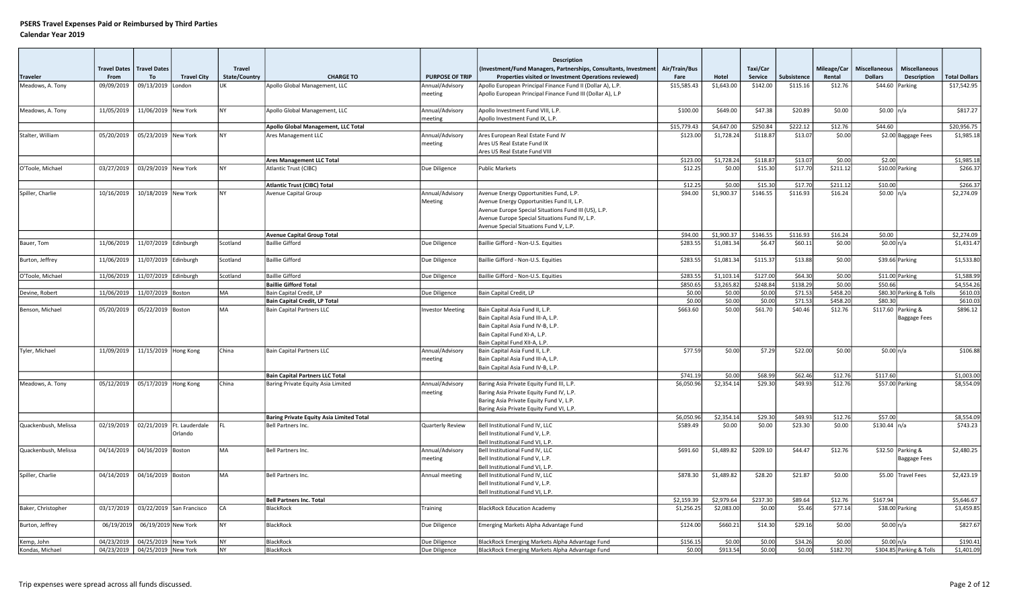|                      | <b>Travel Dates</b> | <b>Travel Dates</b>                 |                                                 | <b>Travel</b>        |                                                                          |                            | <b>Description</b><br>(Investment/Fund Managers, Partnerships, Consultants, Investment                                                                                                                                                  | Air/Train/Bus      |                  | Taxi/Car          |                    | Mileage/Car         | <b>Miscellaneous</b> | <b>Miscellaneous</b>                     |                      |
|----------------------|---------------------|-------------------------------------|-------------------------------------------------|----------------------|--------------------------------------------------------------------------|----------------------------|-----------------------------------------------------------------------------------------------------------------------------------------------------------------------------------------------------------------------------------------|--------------------|------------------|-------------------|--------------------|---------------------|----------------------|------------------------------------------|----------------------|
| <b>Traveler</b>      | From                | To                                  | <b>Travel City</b>                              | <b>State/Country</b> | <b>CHARGE TO</b>                                                         | <b>PURPOSE OF TRIP</b>     | Properties visited or Investment Operations reviewed)                                                                                                                                                                                   | Fare               | Hotel            | Service           | Subsistence        | Rental              | <b>Dollars</b>       | <b>Description</b>                       | <b>Total Dollars</b> |
| Meadows, A. Tony     | 09/09/2019          | 09/13/2019                          | London                                          | UK                   | Apollo Global Management, LLC                                            | Annual/Advisory<br>meeting | Apollo European Principal Finance Fund II (Dollar A), L.P.<br>Apollo European Principal Finance Fund III (Dollar A), L.P                                                                                                                | \$15,585.43        | \$1,643.00       | \$142.00          | \$115.16           | \$12.76             | $$44.60$ Parking     |                                          | \$17,542.95          |
| Meadows, A. Tony     | 11/05/2019          | 11/06/2019 New York                 |                                                 | NY                   | Apollo Global Management, LLC                                            | Annual/Advisory<br>neeting | Apollo Investment Fund VIII, L.P.<br>Apollo Investment Fund IX, L.P.                                                                                                                                                                    | \$100.00           | \$649.00         | \$47.38           | \$20.89            | \$0.00              | \$0.00 $n/a$         |                                          | \$817.27             |
|                      |                     |                                     |                                                 |                      | Apollo Global Management, LLC Total                                      |                            |                                                                                                                                                                                                                                         | \$15,779.43        | \$4,647.00       | \$250.84          | \$222.12           | \$12.76             | \$44.60              |                                          | \$20,956.75          |
| Stalter, William     |                     | 05/20/2019   05/23/2019  New York   |                                                 | NY                   | Ares Management LLC                                                      | Annual/Advisory<br>meeting | Ares European Real Estate Fund IV<br>Ares US Real Estate Fund IX<br>Ares US Real Estate Fund VIII                                                                                                                                       | \$123.00           | \$1,728.24       | \$118.87          | \$13.07            | \$0.00              |                      | \$2.00 Baggage Fees                      | \$1,985.18           |
|                      |                     |                                     |                                                 |                      | <b>Ares Management LLC Total</b>                                         |                            |                                                                                                                                                                                                                                         | \$123.00           | \$1,728.24       | \$118.87          | \$13.07            | \$0.00              | \$2.00               |                                          | \$1,985.18           |
| O'Toole, Michael     |                     | 03/27/2019 03/29/2019 New York      |                                                 | <b>NY</b>            | Atlantic Trust (CIBC)                                                    | Due Diligence              | <b>Public Markets</b>                                                                                                                                                                                                                   | \$12.25            | \$0.00           | \$15.30           | \$17.70            | \$211.12            |                      | \$10.00 Parking                          | \$266.37             |
|                      |                     |                                     |                                                 |                      | Atlantic Trust (CIBC) Total                                              |                            |                                                                                                                                                                                                                                         | \$12.25            | \$0.00           | \$15.30           | \$17.70            | \$211.12            | \$10.00              |                                          | \$266.37             |
| Spiller, Charlie     | 10/16/2019          | 10/18/2019 New York                 |                                                 | <b>NY</b>            | Avenue Capital Group                                                     | Annual/Advisory<br>Meeting | Avenue Energy Opportunities Fund, L.P.<br>Avenue Energy Opportunities Fund II, L.P.<br>Avenue Europe Special Situations Fund III (US), L.P.<br>Avenue Europe Special Situations Fund IV, L.P.<br>Avenue Special Situations Fund V, L.P. | \$94.00            | \$1,900.37       | \$146.55          | \$116.93           | \$16.24             | \$0.00 $ n/a $       |                                          | \$2,274.09           |
|                      |                     |                                     |                                                 |                      | <b>Avenue Capital Group Total</b>                                        |                            |                                                                                                                                                                                                                                         | \$94.00            | \$1,900.37       | \$146.55          | \$116.93           | \$16.24             | \$0.00               |                                          | \$2,274.09           |
| Bauer, Tom           | 11/06/2019          | 11/07/2019 Edinburgh                |                                                 | Scotland             | <b>Baillie Gifford</b>                                                   | Due Diligence              | Baillie Gifford - Non-U.S. Equities                                                                                                                                                                                                     | \$283.55           | \$1,081.34       | \$6.47            | \$60.11            | \$0.00              | \$0.00 n/a           |                                          | \$1,431.47           |
| Burton, Jeffrey      | 11/06/2019          | 11/07/2019                          | Edinburgh                                       | Scotland             | <b>Baillie Gifford</b>                                                   | Due Diligence              | Baillie Gifford - Non-U.S. Equities                                                                                                                                                                                                     | \$283.55           | \$1,081.34       | \$115.37          | \$13.88            | \$0.00              | \$39.66 Parking      |                                          | \$1,533.80           |
| O'Toole, Michael     | 11/06/2019          | 11/07/2019 Edinburgh                |                                                 | Scotland             | <b>Baillie Gifford</b>                                                   | Due Diligence              | Baillie Gifford - Non-U.S. Equities                                                                                                                                                                                                     | \$283.55           | \$1,103.14       | \$127.00          | \$64.30            | \$0.00              |                      | \$11.00 Parking                          | \$1,588.99           |
|                      |                     |                                     |                                                 |                      | <b>Baillie Gifford Total</b>                                             |                            |                                                                                                                                                                                                                                         | \$850.65           | \$3,265.82       | \$248.84          | \$138.29           | \$0.00              | \$50.66              |                                          | \$4,554.26           |
| Devine, Robert       | 11/06/2019          | 11/07/2019 Boston                   |                                                 | MA                   | Bain Capital Credit, LP                                                  | Due Diligence              | Bain Capital Credit, LP                                                                                                                                                                                                                 | \$0.00             | \$0.00           | \$0.00            | \$71.53            | \$458.20            | \$80.30              | \$80.30 Parking & Tolls                  | \$610.03             |
| Benson, Michael      | 05/20/2019          | 05/22/2019   Boston                 |                                                 | MA                   | <b>Bain Capital Credit, LP Total</b><br><b>Bain Capital Partners LLC</b> | <b>Investor Meeting</b>    | Bain Capital Asia Fund II, L.P.<br>Bain Capital Asia Fund III-A, L.P.<br>Bain Capital Asia Fund IV-B, L.P.<br>Bain Capital Fund XI-A, L.P.<br>Bain Capital Fund XII-A, L.P.                                                             | \$0.00<br>\$663.60 | \$0.00<br>\$0.00 | \$0.00<br>\$61.70 | \$71.53<br>\$40.46 | \$458.20<br>\$12.76 |                      | \$117.60 Parking &<br>Baggage Fees       | \$610.03<br>\$896.12 |
| Tyler, Michael       |                     | 11/09/2019   11/15/2019   Hong Kong |                                                 | China                | <b>Bain Capital Partners LLC</b>                                         | Annual/Advisory<br>neeting | Bain Capital Asia Fund II, L.P.<br>Bain Capital Asia Fund III-A, L.P.<br>Bain Capital Asia Fund IV-B, L.P.                                                                                                                              | \$77.59            | \$0.00           | \$7.29            | \$22.00            | \$0.00              | \$0.00 n/a           |                                          | \$106.88             |
|                      |                     |                                     |                                                 |                      | <b>Bain Capital Partners LLC Total</b>                                   |                            |                                                                                                                                                                                                                                         | \$741.19           | \$0.00           | \$68.99           | \$62.46            | \$12.76             | \$117.60             |                                          | \$1,003.00           |
| Meadows, A. Tony     |                     | 05/12/2019   05/17/2019   Hong Kong |                                                 | China                | Baring Private Equity Asia Limited                                       | Annual/Advisory<br>meeting | Baring Asia Private Equity Fund III, L.P.<br>Baring Asia Private Equity Fund IV, L.P.<br>Baring Asia Private Equity Fund V, L.P.<br>Baring Asia Private Equity Fund VI, L.P.                                                            | \$6,050.96         | \$2,354.14       | \$29.30           | \$49.93            | \$12.76             |                      | \$57.00 Parking                          | \$8,554.09           |
|                      |                     |                                     |                                                 |                      | <b>Baring Private Equity Asia Limited Total</b>                          |                            |                                                                                                                                                                                                                                         | \$6,050.96         | \$2,354.14       | \$29.30           | \$49.93            | \$12.76             | \$57.00              |                                          | \$8,554.09           |
| Quackenbush, Melissa |                     |                                     | 02/19/2019 02/21/2019 Ft. Lauderdale<br>Orlando |                      | Bell Partners Inc.                                                       | Quarterly Review           | Bell Institutional Fund IV, LLC<br>Bell Institutional Fund V, L.P.<br>Bell Institutional Fund VI, L.P.                                                                                                                                  | \$589.49           | \$0.00           | \$0.00            | \$23.30            | \$0.00              | $$130.44$  n/a       |                                          | \$743.23             |
| Quackenbush, Melissa |                     | 04/14/2019   04/16/2019   Boston    |                                                 | IMA.                 | Bell Partners Inc.                                                       | Annual/Advisory<br>meeting | Bell Institutional Fund IV, LLC<br>Bell Institutional Fund V, L.P.<br>Bell Institutional Fund VI, L.P                                                                                                                                   | \$691.60           | \$1,489.82       | \$209.10          | \$44.47            | \$12.76             |                      | \$32.50 Parking &<br><b>Baggage Fees</b> | \$2,480.25           |
| Spiller, Charlie     | 04/14/2019          | 04/16/2019 Boston                   |                                                 | MA                   | Bell Partners Inc.                                                       | Annual meeting             | Bell Institutional Fund IV, LLC<br>Bell Institutional Fund V, L.P.<br>Bell Institutional Fund VI, L.P.                                                                                                                                  | \$878.30           | \$1,489.82       | \$28.20           | \$21.87            | \$0.00              |                      | \$5.00 Travel Fees                       | \$2,423.19           |
|                      |                     |                                     |                                                 |                      | <b>Bell Partners Inc. Total</b>                                          |                            |                                                                                                                                                                                                                                         | \$2,159.39         | \$2,979.64       | \$237.30          | \$89.64            | \$12.76             | \$167.94             |                                          | \$5,646.67           |
| Baker, Christopher   | 03/17/2019          |                                     | 03/22/2019 San Francisco                        | CA                   | BlackRock                                                                | Training                   | <b>BlackRock Education Academy</b>                                                                                                                                                                                                      | \$1,256.25         | \$2,083.00       | \$0.00            | \$5.46             | \$77.14             |                      | \$38.00 Parking                          | \$3,459.85           |
| Burton, Jeffrey      | 06/19/2019          | 06/19/2019 New York                 |                                                 | INY                  | BlackRock                                                                | Due Diligence              | Emerging Markets Alpha Advantage Fund                                                                                                                                                                                                   | \$124.00           | \$660.21         | \$14.30           | \$29.16            | \$0.00              | \$0.00 n/a           |                                          | \$827.67             |
| Kemp, John           | 04/23/2019          | 04/25/2019 New York                 |                                                 | <b>NY</b>            | BlackRock                                                                | Due Diligence              | BlackRock Emerging Markets Alpha Advantage Fund                                                                                                                                                                                         | \$156.15           | \$0.00           | \$0.00            | \$34.26            | \$0.00              | \$0.00 n/a           |                                          | \$190.41             |
| Kondas, Michael      | 04/23/2019          | 04/25/2019 New York                 |                                                 | NY                   | <b>BlackRock</b>                                                         | Due Diligence              | BlackRock Emerging Markets Alpha Advantage Fund                                                                                                                                                                                         | \$0.00             | \$913.54         | \$0.00            | \$0.00             | \$182.70            |                      | \$304.85 Parking & Tolls                 | \$1,401.09           |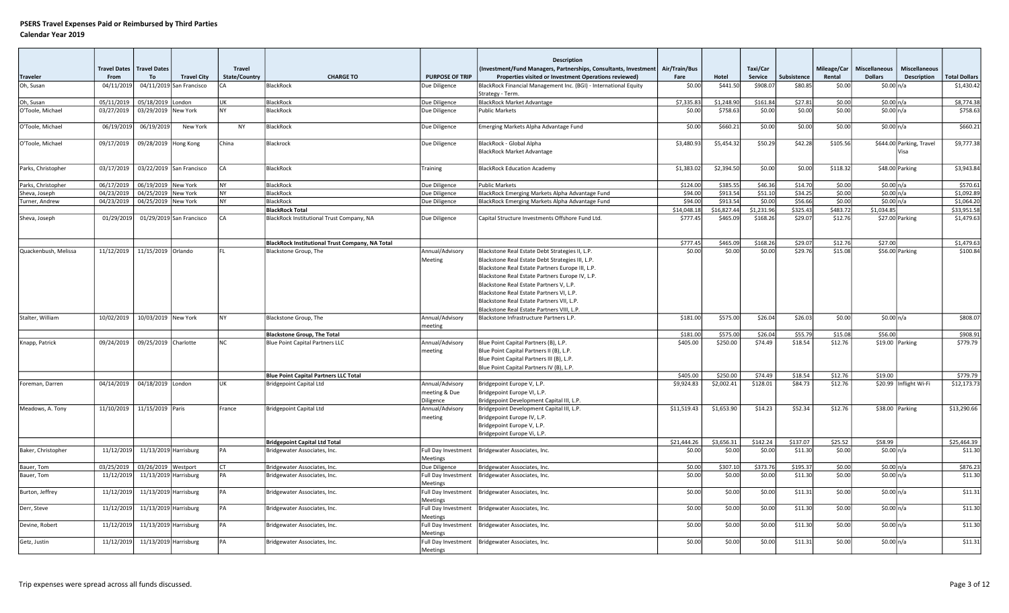|                      | <b>Travel Dates</b> | <b>Travel Dates</b>   |                          | <b>Travel</b>        |                                                 |                                 | <b>Description</b><br>(Investment/Fund Managers, Partnerships, Consultants, Investment | Air/Train/Bus |             | Taxi/Car   |             | Mileage/Car | <b>Miscellaneous</b> | <b>Miscellaneous</b>     |                      |
|----------------------|---------------------|-----------------------|--------------------------|----------------------|-------------------------------------------------|---------------------------------|----------------------------------------------------------------------------------------|---------------|-------------|------------|-------------|-------------|----------------------|--------------------------|----------------------|
| <b>Traveler</b>      | From                | To                    | <b>Travel City</b>       | <b>State/Country</b> | <b>CHARGE TO</b>                                | <b>PURPOSE OF TRIP</b>          | Properties visited or Investment Operations reviewed)                                  | Fare          | Hotel       | Service    | Subsistence | Rental      | <b>Dollars</b>       | <b>Description</b>       | <b>Total Dollars</b> |
| Oh, Susan            | 04/11/2019          |                       | 04/11/2019 San Francisco | CA                   | <b>BlackRock</b>                                | Due Diligence                   | BlackRock Financial Management Inc. (BGI) - International Equity<br>Strategy - Term.   | \$0.00        | \$441.50    | \$908.07   | \$80.85     | \$0.00      | \$0.00 n/a           |                          | \$1,430.42           |
| Oh, Susan            | 05/11/2019          | 05/18/2019 London     |                          | UK                   | <b>BlackRock</b>                                | Due Diligence                   | <b>BlackRock Market Advantage</b>                                                      | \$7,335.83    | \$1,248.90  | \$161.84   | \$27.81     | \$0.00      | \$0.00 n/a           |                          | \$8,774.38           |
| O'Toole, Michael     | 03/27/2019          | 03/29/2019 New York   |                          | INY.                 | BlackRock                                       | Due Diligence                   | Public Markets                                                                         | \$0.00        | \$758.63    | \$0.00     | \$0.00      | \$0.00      | \$0.00 n/a           |                          | \$758.63             |
| O'Toole, Michael     | 06/19/2019          | 06/19/2019            | New York                 | NY                   | <b>BlackRock</b>                                | Due Diligence                   | Emerging Markets Alpha Advantage Fund                                                  | \$0.00        | \$660.21    | \$0.00     | \$0.00      | \$0.00      | \$0.00 n/a           |                          | \$660.21             |
| O'Toole, Michael     | 09/17/2019          | 09/28/2019 Hong Kong  |                          | China                | Blackrock                                       | Due Diligence                   | BlackRock - Global Alpha                                                               | \$3,480.93    | \$5,454.32  | \$50.29    | \$42.28     | \$105.56    |                      | \$644.00 Parking, Travel | \$9,777.38           |
|                      |                     |                       |                          |                      |                                                 |                                 | <b>BlackRock Market Advantage</b>                                                      |               |             |            |             |             |                      | Visa                     |                      |
| Parks, Christopher   | 03/17/2019          |                       | 03/22/2019 San Francisco | CA                   | BlackRock                                       | raining                         | <b>BlackRock Education Academy</b>                                                     | \$1,383.02    | \$2,394.50  | \$0.00     | \$0.00      | \$118.32    |                      | \$48.00 Parking          | \$3,943.84           |
| Parks, Christopher   | 06/17/2019          | 06/19/2019 New York   |                          | NY                   | <b>BlackRock</b>                                | Due Diligence                   | <b>Public Markets</b>                                                                  | \$124.00      | \$385.55    | \$46.36    | \$14.7      | \$0.00      | \$0.00 n/a           |                          | \$570.61             |
| Sheva, Joseph        | 04/23/2019          | 04/25/2019 New York   |                          | <b>NY</b>            | <b>BlackRock</b>                                | Due Diligence                   | BlackRock Emerging Markets Alpha Advantage Fund                                        | \$94.00       | \$913.54    | \$51.10    | \$34.2      | \$0.00      | \$0.00 n/a           |                          | \$1,092.89           |
| Turner, Andrew       | 04/23/2019          | 04/25/2019 New York   |                          | N <sub>Y</sub>       | BlackRock                                       | Due Diligence                   | BlackRock Emerging Markets Alpha Advantage Fund                                        | \$94.00       | \$913.54    | \$0.00     | \$56.66     | \$0.00      | \$0.00 n/a           |                          | \$1,064.20           |
|                      |                     |                       |                          |                      | <b>BlackRock Total</b>                          |                                 |                                                                                        | \$14,048.18   | \$16,827.44 | \$1,231.96 | \$325.43    | \$483.72    | \$1,034.85           |                          | \$33,951.58          |
| Sheva, Joseph        | 01/29/2019          |                       | 01/29/2019 San Francisco | CA                   | BlackRock Institutional Trust Company, NA       | Due Diligence                   | Capital Structure Investments Offshore Fund Ltd.                                       | \$777.45      | \$465.09    | \$168.26   | \$29.07     | \$12.76     |                      | \$27.00 Parking          | \$1,479.63           |
|                      |                     |                       |                          |                      | BlackRock Institutional Trust Company, NA Total |                                 |                                                                                        | \$777.45      | \$465.09    | \$168.26   | \$29.0      | \$12.76     | \$27.00              |                          | \$1,479.63           |
| Quackenbush, Melissa | 11/12/2019          | 11/15/2019 Orlando    |                          |                      | Blackstone Group, The                           | Annual/Advisory                 | Blackstone Real Estate Debt Strategies II, L.P.                                        | \$0.00        | \$0.00      | \$0.00     | \$29.76     | \$15.08     |                      | \$56.00 Parking          | \$100.84             |
|                      |                     |                       |                          |                      |                                                 | Meeting                         | Blackstone Real Estate Debt Strategies III, L.P.                                       |               |             |            |             |             |                      |                          |                      |
|                      |                     |                       |                          |                      |                                                 |                                 | Blackstone Real Estate Partners Europe III, L.P.                                       |               |             |            |             |             |                      |                          |                      |
|                      |                     |                       |                          |                      |                                                 |                                 | Blackstone Real Estate Partners Europe IV, L.P.                                        |               |             |            |             |             |                      |                          |                      |
|                      |                     |                       |                          |                      |                                                 |                                 | Blackstone Real Estate Partners V, L.P.                                                |               |             |            |             |             |                      |                          |                      |
|                      |                     |                       |                          |                      |                                                 |                                 | Blackstone Real Estate Partners VI, L.P.                                               |               |             |            |             |             |                      |                          |                      |
|                      |                     |                       |                          |                      |                                                 |                                 | Blackstone Real Estate Partners VII, L.P.                                              |               |             |            |             |             |                      |                          |                      |
|                      |                     |                       |                          |                      |                                                 |                                 | Blackstone Real Estate Partners VIII, L.P.                                             |               |             |            |             |             |                      |                          |                      |
| Stalter, William     | 10/02/2019          | 10/03/2019 New York   |                          | NY                   | Blackstone Group, The                           | Annual/Advisory<br>neeting      | Blackstone Infrastructure Partners L.P.                                                | \$181.00      | \$575.00    | \$26.04    | \$26.03     | \$0.00      | \$0.00 n/a           |                          | \$808.07             |
|                      |                     |                       |                          |                      | <b>Blackstone Group, The Total</b>              |                                 |                                                                                        | \$181.00      | \$575.00    | \$26.04    | \$55.7      | \$15.08     | \$56.00              |                          | \$908.91             |
| Knapp, Patrick       | 09/24/2019          | 09/25/2019 Charlotte  |                          | NC.                  | Blue Point Capital Partners LLC                 | Annual/Advisory                 | Blue Point Capital Partners (B), L.P.                                                  | \$405.00      | \$250.00    | \$74.49    | \$18.54     | \$12.76     |                      | $$19.00$ Parking         | \$779.79             |
|                      |                     |                       |                          |                      |                                                 | neeting                         | Blue Point Capital Partners II (B), L.P.                                               |               |             |            |             |             |                      |                          |                      |
|                      |                     |                       |                          |                      |                                                 |                                 | Blue Point Capital Partners III (B), L.P.                                              |               |             |            |             |             |                      |                          |                      |
|                      |                     |                       |                          |                      |                                                 |                                 | Blue Point Capital Partners IV (B), L.P.                                               |               |             |            |             |             |                      |                          |                      |
|                      |                     |                       |                          |                      | <b>Blue Point Capital Partners LLC Total</b>    |                                 |                                                                                        | \$405.00      | \$250.00    | \$74.49    | \$18.54     | \$12.76     | \$19.00              |                          | \$779.79             |
| Foreman, Darren      | 04/14/2019          | 04/18/2019 London     |                          | <b>UK</b>            | <b>Bridgepoint Capital Ltd</b>                  | Annual/Advisory                 | Bridgepoint Europe V, L.P.                                                             | \$9,924.83    | \$2,002.41  | \$128.01   | \$84.73     | \$12.76     |                      | \$20.99 Inflight Wi-Fi   | \$12,173.73          |
|                      |                     |                       |                          |                      |                                                 | neeting & Due                   | Bridgepoint Europe VI, L.P.                                                            |               |             |            |             |             |                      |                          |                      |
|                      |                     |                       |                          |                      |                                                 | <b>Diligence</b>                | Bridgepoint Development Capital III, L.P.                                              |               |             |            |             |             |                      |                          |                      |
| Meadows, A. Tony     | 11/10/2019          | 11/15/2019 Paris      |                          | France               | <b>Bridgepoint Capital Ltd</b>                  | Annual/Advisory                 | Bridgepoint Development Capital III, L.P.                                              | \$11,519.43   | \$1,653.90  | \$14.23    | \$52.34     | \$12.76     | \$38.00 Parking      |                          | \$13,290.66          |
|                      |                     |                       |                          |                      |                                                 | neeting                         | Bridgepoint Europe IV, L.P.                                                            |               |             |            |             |             |                      |                          |                      |
|                      |                     |                       |                          |                      |                                                 |                                 | Bridgepoint Europe V, L.P.<br>Bridgepoint Europe Vi, L.P.                              |               |             |            |             |             |                      |                          |                      |
|                      |                     |                       |                          |                      | <b>Bridgepoint Capital Ltd Total</b>            |                                 |                                                                                        | \$21,444.26   | \$3,656.31  | \$142.24   | \$137.07    | \$25.52     | \$58.99              |                          | \$25,464.39          |
| Baker, Christopher   | 11/12/2019          | 11/13/2019 Harrisburg |                          | PA                   | Bridgewater Associates, Inc.                    | Full Day Investment             | Bridgewater Associates, Inc.                                                           | \$0.00        | \$0.00      | \$0.00     | \$11.30     | \$0.00      | \$0.00 n/a           |                          | \$11.30              |
|                      |                     |                       |                          |                      |                                                 | Meetings                        |                                                                                        |               |             |            |             |             |                      |                          |                      |
| Bauer, Tom           | 03/25/2019          | 03/26/2019   Westport |                          | Iст                  | Bridgewater Associates, Inc.                    | Due Diligence                   | Bridgewater Associates, Inc.                                                           | \$0.00        | \$307.10    | \$373.76   | \$195.3     | \$0.00      | \$0.00 n/a           |                          | \$876.23             |
| Bauer, Tom           | 11/12/2019          | 11/13/2019 Harrisburg |                          | PA                   | Bridgewater Associates, Inc.                    | Full Day Investment             | Bridgewater Associates, Inc.                                                           | \$0.00        | \$0.00      | \$0.00     | \$11.30     | \$0.00      | \$0.00 n/a           |                          | \$11.30              |
|                      |                     |                       |                          |                      |                                                 | Meetings                        |                                                                                        |               |             |            |             |             |                      |                          |                      |
| Burton, Jeffrey      | 11/12/2019          | 11/13/2019 Harrisburg |                          | <b>PA</b>            | Bridgewater Associates, Inc.                    | Full Day Investment             | Bridgewater Associates, Inc.                                                           | \$0.00        | \$0.00      | \$0.00     | \$11.31     | \$0.00      | \$0.00 n/a           |                          | \$11.31              |
|                      |                     |                       |                          |                      |                                                 | Meetings                        |                                                                                        |               |             |            |             |             |                      |                          |                      |
| Derr, Steve          | 11/12/2019          | 11/13/2019 Harrisburg |                          | <b>IPA</b>           | Bridgewater Associates, Inc.                    | Full Day Investment<br>Meetings | Bridgewater Associates, Inc.                                                           | \$0.00        | \$0.00      | \$0.00     | \$11.30     | \$0.00      | \$0.00 n/a           |                          | \$11.30              |
| Devine, Robert       | 11/12/2019          | 11/13/2019 Harrisburg |                          | <b>IPA</b>           | Bridgewater Associates, Inc.                    | <b>Meetings</b>                 | Full Day Investment   Bridgewater Associates, Inc.                                     | \$0.00        | \$0.00      | \$0.00     | \$11.30     | \$0.00      | \$0.00 n/a           |                          | \$11.30              |
| Getz, Justin         | 11/12/2019          | 11/13/2019 Harrisburg |                          | <b>IPA</b>           | Bridgewater Associates, Inc.                    |                                 | Full Day Investment   Bridgewater Associates, Inc.                                     | \$0.00        | \$0.00      | \$0.00     | \$11.31     | \$0.00      | \$0.00 n/a           |                          | \$11.31              |
|                      |                     |                       |                          |                      |                                                 | Meetings                        |                                                                                        |               |             |            |             |             |                      |                          |                      |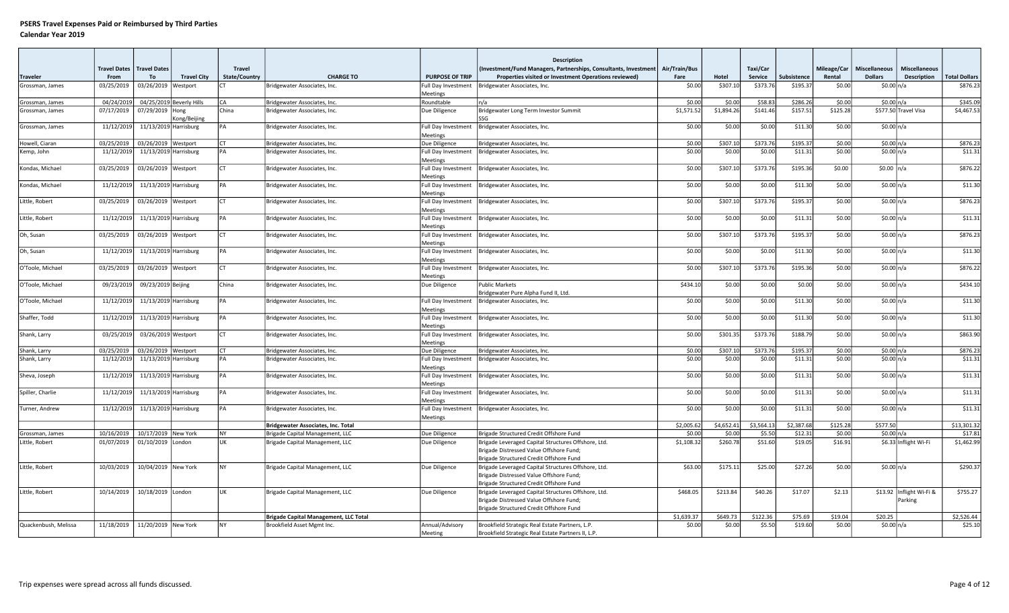|                      | <b>Travel Dates</b> | <b>Travel Dates</b>   |                                       | <b>Travel</b>        |                                           |                                        | <b>Description</b><br>(Investment/Fund Managers, Partnerships, Consultants, Investment                | Air/Train/Bus |            | Taxi/Car   |             | Mileage/Car | <b>Miscellaneous</b> | Miscellaneous            |                      |
|----------------------|---------------------|-----------------------|---------------------------------------|----------------------|-------------------------------------------|----------------------------------------|-------------------------------------------------------------------------------------------------------|---------------|------------|------------|-------------|-------------|----------------------|--------------------------|----------------------|
| <b>Traveler</b>      | From                | To                    | <b>Travel City</b>                    | <b>State/Country</b> | <b>CHARGE TO</b>                          | PURPOSE OF TRIP                        | Properties visited or Investment Operations reviewed)                                                 | Fare          | Hotel      | Service    | Subsistence | Rental      | <b>Dollars</b>       | <b>Description</b>       | <b>Total Dollars</b> |
| Grossman, James      | 03/25/2019          | 03/26/2019   Westport |                                       |                      | Bridgewater Associates, Inc.              | Full Day Investment<br>Meetings        | Bridgewater Associates, Inc.                                                                          | \$0.00        | \$307.10   | \$373.76   | \$195.37    | \$0.00      | \$0.00 n/a           |                          | \$876.23             |
| Grossman, James      | 04/24/2019          |                       | 04/25/2019 Beverly Hills              | CA                   | Bridgewater Associates, Inc.              | Roundtable                             | n/a                                                                                                   | \$0.00        | \$0.00     | \$58.83    | \$286.26    | \$0.00      | \$0.00 n/a           |                          | \$345.09             |
| Grossman, James      | 07/17/2019          | 07/29/2019 Hong       |                                       | China                | Bridgewater Associates, Inc.              | Due Diligence                          | Bridgewater Long Term Investor Summit                                                                 | \$1,571.52    | \$1,894.26 | \$141.46   | \$157.51    | \$125.28    |                      | \$577.50 Travel Visa     | \$4,467.53           |
| Grossman, James      | 11/12/2019          |                       | Kong/Beijing<br>11/13/2019 Harrisburg | PA                   | Bridgewater Associates, Inc.              | Full Day Investment                    | ናናና<br>Bridgewater Associates, Inc.                                                                   | \$0.00        | \$0.00     | \$0.00     | \$11.30     | \$0.00      | \$0.00 n/a           |                          |                      |
|                      |                     |                       |                                       |                      |                                           | <b>Meetings</b>                        |                                                                                                       |               |            |            |             |             |                      |                          |                      |
| Howell, Ciaran       | 03/25/2019          | 03/26/2019   Westport |                                       | <b>CT</b>            | Bridgewater Associates, Inc.              | Due Diligence                          | Bridgewater Associates, Inc.                                                                          | \$0.00        | \$307.10   | \$373.76   | \$195.37    | \$0.00      | \$0.00 n/a           |                          | \$876.23             |
| Kemp, John           | 11/12/2019          |                       | 11/13/2019 Harrisburg                 | PA                   | Bridgewater Associates, Inc.              | Full Day Investment<br>Meetings        | Bridgewater Associates, Inc.                                                                          | \$0.00        | \$0.00     | \$0.00     | \$11.31     | \$0.00      | \$0.00 n/a           |                          | \$11.31              |
| Kondas, Michael      | 03/25/2019          | 03/26/2019   Westport |                                       | <b>CT</b>            | Bridgewater Associates, Inc.              | Full Day Investment<br><b>Meetings</b> | Bridgewater Associates, Inc.                                                                          | \$0.00        | \$307.10   | \$373.76   | \$195.36    | \$0.00      | \$0.00 $n/a$         |                          | \$876.22             |
| Kondas, Michael      | 11/12/2019          |                       | 11/13/2019 Harrisburg                 | PA                   | Bridgewater Associates, Inc.              | Full Day Investment<br>Meetings        | Bridgewater Associates, Inc.                                                                          | \$0.00        | \$0.00     | \$0.00     | \$11.30     | \$0.00      | \$0.00 n/a           |                          | \$11.30              |
| Little, Robert       | 03/25/2019          | 03/26/2019   Westport |                                       | <b>CT</b>            | Bridgewater Associates, Inc.              | Full Day Investment<br>Meetings        | Bridgewater Associates, Inc.                                                                          | \$0.00        | \$307.10   | \$373.76   | \$195.37    | \$0.00      | \$0.00 n/a           |                          | \$876.23             |
| Little, Robert       | 11/12/2019          |                       | 11/13/2019 Harrisburg                 | PA                   | Bridgewater Associates, Inc.              | Full Day Investment                    | Bridgewater Associates, Inc.                                                                          | \$0.00        | \$0.00     | \$0.00     | \$11.31     | \$0.00      | \$0.00 n/a           |                          | \$11.31              |
| Oh, Susan            | 03/25/2019          | 03/26/2019   Westport |                                       | <b>CT</b>            | Bridgewater Associates, Inc.              | Meetings<br>Full Day Investment        | Bridgewater Associates, Inc.                                                                          | \$0.00        | \$307.10   | \$373.76   | \$195.37    | \$0.00      | \$0.00 n/a           |                          | \$876.23             |
| Oh, Susan            | 11/12/2019          |                       | 11/13/2019 Harrisburg                 | PA                   | Bridgewater Associates, Inc.              | Meetings<br>Full Day Investment        | Bridgewater Associates, Inc.                                                                          | \$0.00        | \$0.00     | \$0.00     | \$11.30     | \$0.00      | \$0.00 n/a           |                          | \$11.30              |
| O'Toole, Michael     | 03/25/2019          | 03/26/2019   Westport |                                       | <b>CT</b>            | Bridgewater Associates, Inc.              | Meetings<br>Full Day Investment        | Bridgewater Associates, Inc.                                                                          | \$0.00        | \$307.10   | \$373.76   | \$195.36    | \$0.00      | \$0.00 n/a           |                          | \$876.22             |
| O'Toole, Michael     | 09/23/2019          | 09/23/2019 Beijing    |                                       | China                | Bridgewater Associates, Inc.              | Meetings<br>Due Diligence              | <b>Public Markets</b>                                                                                 | \$434.10      | \$0.00     | \$0.00     | \$0.00      | \$0.00      | \$0.00 n/a           |                          | \$434.10             |
| O'Toole, Michael     | 11/12/2019          |                       | 11/13/2019 Harrisburg                 | PA                   | Bridgewater Associates, Inc.              | Full Day Investment                    | Bridgewater Pure Alpha Fund II, Ltd.<br>Bridgewater Associates, Inc.                                  | \$0.00        | \$0.00     | \$0.00     | \$11.30     | \$0.00      | \$0.00 n/a           |                          | \$11.30              |
| Shaffer, Todd        | 11/12/2019          |                       | 11/13/2019 Harrisburg                 | PA                   |                                           | Meetings<br>Full Day Investment        |                                                                                                       | \$0.00        | \$0.00     | \$0.00     | \$11.30     | \$0.00      | \$0.00 n/a           |                          | \$11.30              |
|                      |                     |                       |                                       |                      | Bridgewater Associates, Inc.              | Meetings                               | Bridgewater Associates, Inc.                                                                          |               |            |            |             |             |                      |                          |                      |
| Shank, Larry         | 03/25/2019          | 03/26/2019 Westport   |                                       | <b>CT</b>            | Bridgewater Associates, Inc.              | Full Day Investment<br>Meetings        | Bridgewater Associates, Inc.                                                                          | \$0.00        | \$301.35   | \$373.76   | \$188.79    | \$0.00      | \$0.00 n/a           |                          | \$863.90             |
| Shank, Larry         | 03/25/2019          | 03/26/2019 Westport   |                                       | <b>CT</b>            | Bridgewater Associates, Inc.              | Due Diligence                          | Bridgewater Associates, Inc.                                                                          | \$0.00        | \$307.1    | \$373.76   | \$195.37    | \$0.00      | \$0.00 n/a           |                          | \$876.23             |
| Shank, Larry         | 11/12/2019          |                       | 11/13/2019 Harrisburg                 | PA                   | Bridgewater Associates, Inc.              | Full Day Investment<br>Meetings        | Bridgewater Associates, Inc.                                                                          | \$0.00        | \$0.00     | \$0.00     | \$11.31     | \$0.00      | \$0.00 n/a           |                          | \$11.31              |
| Sheva, Joseph        | 11/12/2019          |                       | 11/13/2019 Harrisburg                 | PA                   | Bridgewater Associates, Inc.              | Full Day Investment<br>Meetings        | Bridgewater Associates, Inc.                                                                          | \$0.00        | \$0.00     | \$0.00     | \$11.31     | \$0.00      | \$0.00 n/a           |                          | \$11.31              |
| Spiller, Charlie     | 11/12/2019          |                       | 11/13/2019 Harrisburg                 | PA                   | Bridgewater Associates, Inc.              | Full Day Investment<br>Meetings        | Bridgewater Associates, Inc.                                                                          | \$0.00        | \$0.00     | \$0.00     | \$11.31     | \$0.00      | \$0.00 n/a           |                          | \$11.31              |
| Turner, Andrew       | 11/12/2019          |                       | 11/13/2019 Harrisburg                 | PA                   | Bridgewater Associates, Inc.              | Full Day Investment<br>Meetings        | Bridgewater Associates, Inc.                                                                          | \$0.00        | \$0.00     | \$0.00     | \$11.31     | \$0.00      | \$0.00 n/a           |                          | \$11.31              |
|                      |                     |                       |                                       |                      | <b>Bridgewater Associates, Inc. Total</b> |                                        |                                                                                                       | \$2,005.62    | \$4,652.41 | \$3,564.13 | \$2,387.68  | \$125.28    | \$577.50             |                          | \$13,301.32          |
| Grossman, James      | 10/16/2019          | 10/17/2019 New York   |                                       | <b>NY</b>            | Brigade Capital Management, LLC           | Due Diligence                          | Brigade Structured Credit Offshore Fund                                                               | \$0.00        | \$0.00     | \$5.50     | \$12.31     | \$0.00      | \$0.00 n/a           |                          | \$17.81              |
| Little, Robert       | 01/07/2019          | 01/10/2019 London     |                                       | UK                   | Brigade Capital Management, LLC           | Due Diligence                          | Brigade Leveraged Capital Structures Offshore, Ltd.                                                   | \$1,108.32    | \$260.78   | \$51.60    | \$19.05     | \$16.91     |                      | \$6.33 Inflight Wi-Fi    | \$1,462.99           |
|                      |                     |                       |                                       |                      |                                           |                                        | Brigade Distressed Value Offshore Fund:<br>Brigade Structured Credit Offshore Fund                    |               |            |            |             |             |                      |                          |                      |
| Little, Robert       | 10/03/2019          | 10/04/2019 New York   |                                       | <b>NY</b>            | Brigade Capital Management, LLC           | Due Diligence                          | Brigade Leveraged Capital Structures Offshore, Ltd.<br>Brigade Distressed Value Offshore Fund;        | \$63.00       | \$175.11   | \$25.00    | \$27.26     | \$0.00      | \$0.00 n/a           |                          | \$290.37             |
| Little, Robert       | 10/14/2019          | 10/18/2019 London     |                                       | UK                   | Brigade Capital Management, LLC           | Due Diligence                          | Brigade Structured Credit Offshore Fund<br>Brigade Leveraged Capital Structures Offshore, Ltd.        | \$468.05      | \$213.84   | \$40.26    | \$17.07     | \$2.13      |                      | \$13.92 Inflight Wi-Fi & | \$755.27             |
|                      |                     |                       |                                       |                      |                                           |                                        | Brigade Distressed Value Offshore Fund;<br>Brigade Structured Credit Offshore Fund                    |               |            |            |             |             |                      | Parking                  |                      |
|                      |                     |                       |                                       |                      | Brigade Capital Management, LLC Total     |                                        |                                                                                                       | \$1,639.37    | \$649.73   | \$122.36   | \$75.69     | \$19.04     | \$20.25              |                          | \$2,526.44           |
| Quackenbush, Melissa | 11/18/2019          | 11/20/2019 New York   |                                       | <b>NY</b>            | Brookfield Asset Mgmt Inc.                | Annual/Advisory<br>Meeting             | Brookfield Strategic Real Estate Partners, L.P.<br>Brookfield Strategic Real Estate Partners II, L.P. | \$0.00        | \$0.00     | \$5.50     | \$19.60     | \$0.00      | \$0.00 n/a           |                          | \$25.10              |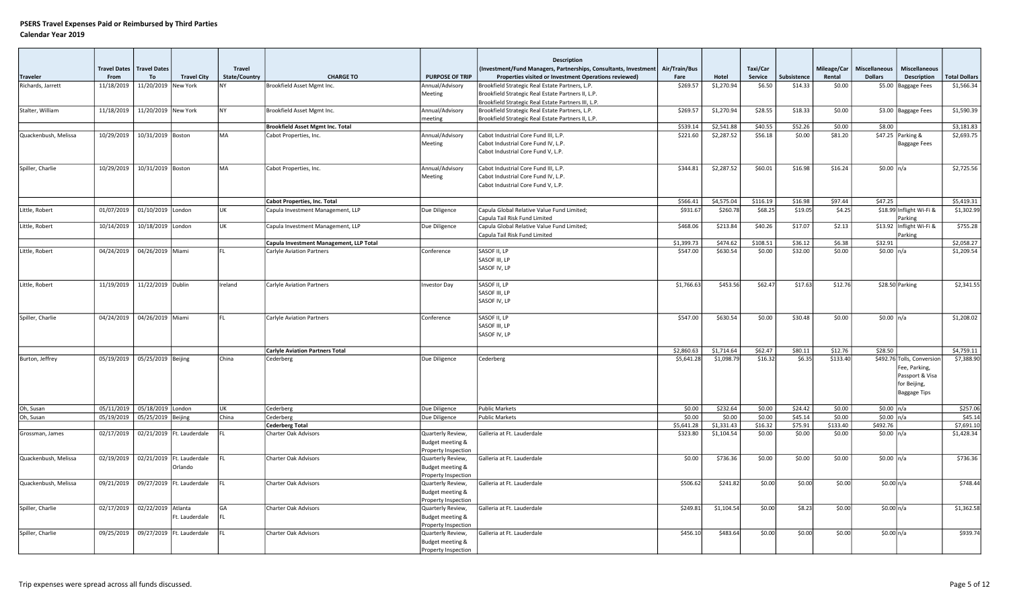|                      | Travel Dates | <b>Travel Dates</b>             |                             | <b>Travel</b>        |                                                                      |                                         | <b>Description</b><br>(Investment/Fund Managers, Partnerships, Consultants, Investment   Air/Train/Bus |                        |            | Taxi/Car           |                    | Mileage/Car      | <b>Miscellaneous</b>    | <b>Miscellaneous</b>       |                          |
|----------------------|--------------|---------------------------------|-----------------------------|----------------------|----------------------------------------------------------------------|-----------------------------------------|--------------------------------------------------------------------------------------------------------|------------------------|------------|--------------------|--------------------|------------------|-------------------------|----------------------------|--------------------------|
| <b>Traveler</b>      | From         | To                              | <b>Travel City</b>          | <b>State/Country</b> | <b>CHARGE TO</b>                                                     | <b>PURPOSE OF TRIP</b>                  | Properties visited or Investment Operations reviewed)                                                  | Fare                   | Hotel      | Service            | Subsistence        | Rental           | <b>Dollars</b>          | <b>Description</b>         | <b>Total Dollars</b>     |
| Richards, Jarrett    | 11/18/2019   | 11/20/2019 New York             |                             | <b>NY</b>            | Brookfield Asset Mgmt Inc.                                           | Annual/Advisory                         | Brookfield Strategic Real Estate Partners, L.P.                                                        | \$269.57               | \$1,270.94 | \$6.50             | \$14.33            | \$0.00           |                         | \$5.00 Baggage Fees        | \$1,566.34               |
|                      |              |                                 |                             |                      |                                                                      | Meeting                                 | Brookfield Strategic Real Estate Partners II, L.P.                                                     |                        |            |                    |                    |                  |                         |                            |                          |
|                      |              |                                 |                             |                      |                                                                      |                                         | Brookfield Strategic Real Estate Partners III, L.P.                                                    |                        |            |                    |                    |                  |                         |                            |                          |
| Stalter, William     | 11/18/2019   | 11/20/2019 New York             |                             | <b>NY</b>            | Brookfield Asset Mgmt Inc.                                           | Annual/Advisory                         | Brookfield Strategic Real Estate Partners, L.P.                                                        | \$269.57               | \$1,270.94 | \$28.55            | \$18.33            | \$0.00           |                         | \$3.00 Baggage Fees        | \$1,590.39               |
|                      |              |                                 |                             |                      |                                                                      | meeting                                 | Brookfield Strategic Real Estate Partners II, L.P.                                                     | \$539.14               | \$2,541.88 | \$40.55            | \$52.26            | \$0.00           | \$8.00                  |                            | \$3,181.83               |
| Quackenbush, Melissa | 10/29/2019   | 10/31/2019 Boston               |                             | MA                   | <b>Brookfield Asset Mgmt Inc. Total</b><br>Cabot Properties, Inc.    | Annual/Advisory                         | Cabot Industrial Core Fund III, L.P.                                                                   | \$221.60               | \$2,287.52 | \$56.18            | \$0.00             | \$81.20          |                         | $$47.25$ Parking &         | \$2,693.75               |
|                      |              |                                 |                             |                      |                                                                      | Meeting                                 | Cabot Industrial Core Fund IV, L.P.                                                                    |                        |            |                    |                    |                  |                         | Baggage Fees               |                          |
|                      |              |                                 |                             |                      |                                                                      |                                         | Cabot Industrial Core Fund V, L.P.                                                                     |                        |            |                    |                    |                  |                         |                            |                          |
| Spiller, Charlie     |              | 10/29/2019 10/31/2019 Boston    |                             | MA                   | Cabot Properties, Inc.                                               | Annual/Advisory                         | Cabot Industrial Core Fund III, L.P.                                                                   | \$344.81               | \$2,287.52 | \$60.01            | \$16.98            | \$16.24          | \$0.00 n/a              |                            | \$2,725.56               |
|                      |              |                                 |                             |                      |                                                                      | Meeting                                 | Cabot Industrial Core Fund IV, L.P.                                                                    |                        |            |                    |                    |                  |                         |                            |                          |
|                      |              |                                 |                             |                      |                                                                      |                                         | Cabot Industrial Core Fund V, L.P.                                                                     |                        |            |                    |                    |                  |                         |                            |                          |
|                      |              |                                 |                             |                      | Cabot Properties, Inc. Total                                         |                                         |                                                                                                        | \$566.41               | \$4,575.04 | \$116.19           | \$16.98            | \$97.44          | \$47.25                 |                            | \$5,419.31               |
| Little, Robert       | 01/07/2019   | 01/10/2019 London               |                             | UK                   | Capula Investment Management, LLP                                    | Due Diligence                           | Capula Global Relative Value Fund Limited;                                                             | \$931.67               | \$260.78   | \$68.25            | \$19.05            | \$4.25           |                         | \$18.99 Inflight Wi-Fi &   | \$1,302.99               |
|                      |              |                                 |                             |                      |                                                                      |                                         | Capula Tail Risk Fund Limited                                                                          |                        |            |                    |                    |                  |                         | Parking                    |                          |
| Little, Robert       | 10/14/2019   | 10/18/2019 London               |                             | UK                   | Capula Investment Management, LLP                                    | Due Diligence                           | Capula Global Relative Value Fund Limited;                                                             | \$468.06               | \$213.84   | \$40.26            | \$17.07            | \$2.13           |                         | \$13.92 Inflight Wi-Fi &   | \$755.28                 |
|                      |              |                                 |                             |                      |                                                                      |                                         | Capula Tail Risk Fund Limited                                                                          |                        | \$474.62   |                    |                    |                  |                         | Parking                    |                          |
| Little, Robert       |              | 04/24/2019 04/26/2019 Miami     |                             |                      | Capula Investment Management, LLP Total<br>Carlyle Aviation Partners | Conference                              | SASOF II, LP                                                                                           | \$1,399.73<br>\$547.00 | \$630.54   | \$108.51<br>\$0.00 | \$36.12<br>\$32.00 | \$6.38<br>\$0.00 | \$32.91<br>\$0.00 $n/a$ |                            | \$2,058.27<br>\$1,209.54 |
|                      |              |                                 |                             |                      |                                                                      |                                         | SASOF III, LP                                                                                          |                        |            |                    |                    |                  |                         |                            |                          |
|                      |              |                                 |                             |                      |                                                                      |                                         | SASOF IV, LP                                                                                           |                        |            |                    |                    |                  |                         |                            |                          |
|                      |              |                                 |                             |                      |                                                                      |                                         |                                                                                                        |                        |            |                    |                    |                  |                         |                            |                          |
| Little, Robert       | 11/19/2019   | 11/22/2019 Dublin               |                             | Ireland              | Carlyle Aviation Partners                                            | <b>Investor Day</b>                     | SASOF II, LP                                                                                           | \$1,766.63             | \$453.56   | \$62.47            | \$17.63            | \$12.76          |                         | \$28.50 Parking            | \$2,341.55               |
|                      |              |                                 |                             |                      |                                                                      |                                         | SASOF III, LP                                                                                          |                        |            |                    |                    |                  |                         |                            |                          |
|                      |              |                                 |                             |                      |                                                                      |                                         | SASOF IV, LP                                                                                           |                        |            |                    |                    |                  |                         |                            |                          |
| Spiller, Charlie     |              | 04/24/2019   04/26/2019   Miami |                             | FL.                  | <b>Carlyle Aviation Partners</b>                                     | Conference                              | SASOF II, LP                                                                                           | \$547.00               | \$630.54   | \$0.00             | \$30.48            | \$0.00           | \$0.00 $ n/a $          |                            | \$1,208.02               |
|                      |              |                                 |                             |                      |                                                                      |                                         | SASOF III, LP                                                                                          |                        |            |                    |                    |                  |                         |                            |                          |
|                      |              |                                 |                             |                      |                                                                      |                                         | SASOF IV, LP                                                                                           |                        |            |                    |                    |                  |                         |                            |                          |
|                      |              |                                 |                             |                      |                                                                      |                                         |                                                                                                        |                        |            |                    |                    |                  |                         |                            |                          |
|                      |              |                                 |                             |                      | <b>Carlyle Aviation Partners Total</b>                               |                                         |                                                                                                        | \$2,860.63             | \$1,714.64 | \$62.47            | \$80.11            | \$12.76          | \$28.50                 |                            | \$4,759.11               |
| Burton, Jeffrey      | 05/19/2019   | 05/25/2019   Beijing            |                             | China                | Cederberg                                                            | Due Diligence                           | Cederberg                                                                                              | \$5,641.28             | \$1,098.79 | \$16.32            | \$6.35             | \$133.40         |                         | \$492.76 Tolls, Conversion | \$7,388.90               |
|                      |              |                                 |                             |                      |                                                                      |                                         |                                                                                                        |                        |            |                    |                    |                  |                         | Fee, Parking,              |                          |
|                      |              |                                 |                             |                      |                                                                      |                                         |                                                                                                        |                        |            |                    |                    |                  |                         | Passport & Visa            |                          |
|                      |              |                                 |                             |                      |                                                                      |                                         |                                                                                                        |                        |            |                    |                    |                  |                         | for Beijing,               |                          |
|                      |              |                                 |                             |                      |                                                                      |                                         |                                                                                                        |                        |            |                    |                    |                  |                         | <b>Baggage Tips</b>        |                          |
| Oh, Susan            | 05/11/2019   | 05/18/2019 London               |                             | UK                   | Cederberg                                                            | Due Diligence                           | <b>Public Markets</b>                                                                                  | \$0.00                 | \$232.64   | \$0.00             | \$24.42            | \$0.00           | \$0.00 n/a              |                            | \$257.06                 |
| Oh, Susan            | 05/19/2019   | 05/25/2019 Beijing              |                             | China                | Cederberg                                                            | Due Diligence                           | <b>Public Markets</b>                                                                                  | \$0.00                 | \$0.00     | \$0.00             | \$45.14            | \$0.00           | \$0.00 $n/a$            |                            | \$45.14                  |
|                      |              |                                 |                             |                      | Cederberg Total                                                      |                                         |                                                                                                        | \$5,641.28             | \$1,331.43 | \$16.32            | \$75.91            | \$133.40         | \$492.76                |                            | \$7,691.10               |
| Grossman, James      | 02/17/2019   |                                 | 02/21/2019   Ft. Lauderdale |                      | <b>Charter Oak Advisors</b>                                          | Quarterly Review,                       | Galleria at Ft. Lauderdale                                                                             | \$323.80               | \$1,104.54 | \$0.00             | \$0.00             | \$0.00           | \$0.00 n/a              |                            | \$1,428.34               |
|                      |              |                                 |                             |                      |                                                                      | <b>Budget meeting &amp;</b>             |                                                                                                        |                        |            |                    |                    |                  |                         |                            |                          |
|                      |              |                                 |                             |                      |                                                                      | Property Inspection                     |                                                                                                        |                        |            |                    |                    |                  |                         |                            |                          |
| Quackenbush, Melissa | 02/19/2019   |                                 | 02/21/2019   Ft. Lauderdale |                      | Charter Oak Advisors                                                 | Quarterly Review,                       | Galleria at Ft. Lauderdale                                                                             | \$0.00                 | \$736.36   | \$0.00             | \$0.00             | \$0.00           | \$0.00 n/a              |                            | \$736.36                 |
|                      |              |                                 | Orlando                     |                      |                                                                      | Budget meeting &<br>Property Inspection |                                                                                                        |                        |            |                    |                    |                  |                         |                            |                          |
| Quackenbush, Melissa | 09/21/2019   |                                 | 09/27/2019   Ft. Lauderdale | FL.                  | <b>Charter Oak Advisors</b>                                          | Quarterly Review,                       | Galleria at Ft. Lauderdale                                                                             | \$506.62               | \$241.82   | \$0.00             | \$0.00             | \$0.00           | \$0.00 n/a              |                            | \$748.44                 |
|                      |              |                                 |                             |                      |                                                                      | Budget meeting &                        |                                                                                                        |                        |            |                    |                    |                  |                         |                            |                          |
|                      |              |                                 |                             |                      |                                                                      | Property Inspection                     |                                                                                                        |                        |            |                    |                    |                  |                         |                            |                          |
| Spiller, Charlie     | 02/17/2019   | 02/22/2019 Atlanta              |                             | GA                   | <b>Charter Oak Advisors</b>                                          | Quarterly Review,                       | Galleria at Ft. Lauderdale                                                                             | \$249.81               | \$1,104.54 | \$0.00             | \$8.23             | \$0.00           | \$0.00 n/a              |                            | \$1,362.58               |
|                      |              |                                 | Ft. Lauderdale              | FL.                  |                                                                      | Budget meeting &                        |                                                                                                        |                        |            |                    |                    |                  |                         |                            |                          |
|                      |              |                                 |                             |                      |                                                                      | Property Inspection                     |                                                                                                        |                        |            |                    |                    |                  |                         |                            |                          |
| Spiller, Charlie     | 09/25/2019   |                                 | 09/27/2019   Ft. Lauderdale |                      | Charter Oak Advisors                                                 | Quarterly Review,                       | Galleria at Ft. Lauderdale                                                                             | \$456.10               | \$483.64   | \$0.00             | \$0.00             | \$0.00           | \$0.00 n/a              |                            | \$939.74                 |
|                      |              |                                 |                             |                      |                                                                      | Budget meeting &                        |                                                                                                        |                        |            |                    |                    |                  |                         |                            |                          |
|                      |              |                                 |                             |                      |                                                                      | Property Inspection                     |                                                                                                        |                        |            |                    |                    |                  |                         |                            |                          |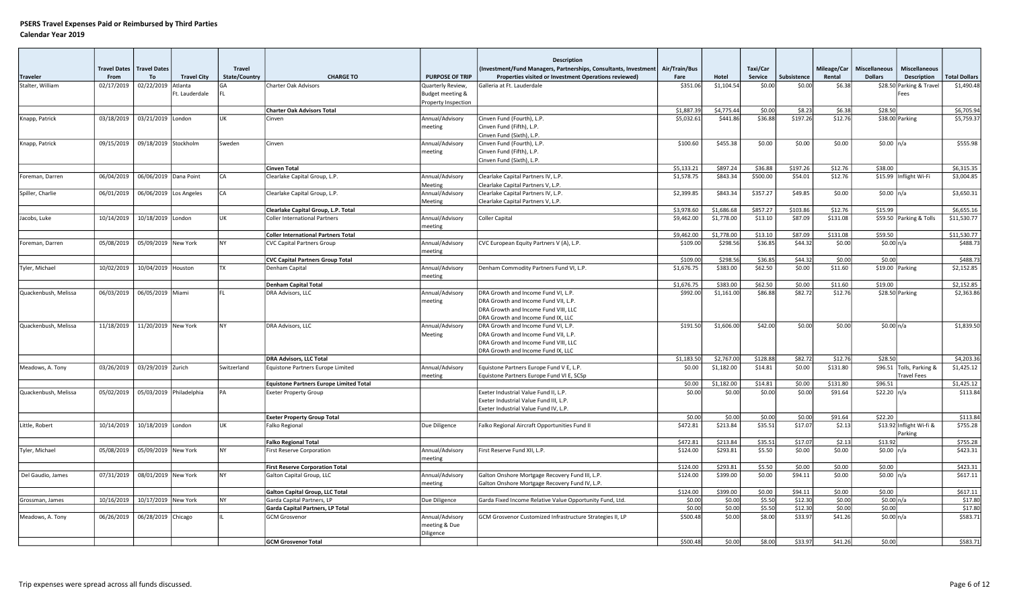|                      |                     |                       |                          |               |                                                                      |                        | <b>Description</b>                                                              |                    |                    |                  |                    |                  |                      |                          |                      |
|----------------------|---------------------|-----------------------|--------------------------|---------------|----------------------------------------------------------------------|------------------------|---------------------------------------------------------------------------------|--------------------|--------------------|------------------|--------------------|------------------|----------------------|--------------------------|----------------------|
|                      | <b>Travel Dates</b> | <b>Travel Dates</b>   |                          | <b>Travel</b> |                                                                      |                        | (Investment/Fund Managers, Partnerships, Consultants, Investment                | Air/Train/Bus      |                    | Taxi/Car         |                    | Mileage/Car      | <b>Miscellaneous</b> | <b>Miscellaneous</b>     |                      |
| Traveler             | From                | To                    | <b>Travel City</b>       | State/Country | <b>CHARGE TO</b>                                                     | <b>PURPOSE OF TRIP</b> | Properties visited or Investment Operations reviewed)                           | Fare               | Hotel              | Service          | Subsistence        | Rental           | <b>Dollars</b>       | <b>Description</b>       | <b>Total Dollars</b> |
| Stalter, William     | 02/17/2019          | 02/22/2019            | Atlanta                  |               | Charter Oak Advisors                                                 | Quarterly Review,      | Galleria at Ft. Lauderdale                                                      | \$351.06           | \$1,104.54         | \$0.00           | \$0.00             | \$6.38           |                      | \$28.50 Parking & Travel | \$1,490.48           |
|                      |                     |                       | Ft. Lauderdale           |               |                                                                      | Budget meeting &       |                                                                                 |                    |                    |                  |                    |                  |                      | Fees                     |                      |
|                      |                     |                       |                          |               | <b>Charter Oak Advisors Total</b>                                    | Property Inspection    |                                                                                 | \$1,887.39         | \$4,775.44         | \$0.00           | \$8.23             | \$6.38           | \$28.50              |                          | \$6,705.94           |
| Knapp, Patrick       | 03/18/2019          | 03/21/2019 London     |                          | UK            | Cinven                                                               | Annual/Advisory        | Cinven Fund (Fourth), L.P.                                                      | \$5,032.61         | \$441.86           | \$36.88          | \$197.26           | \$12.76          | \$38.00 Parking      |                          | \$5,759.37           |
|                      |                     |                       |                          |               |                                                                      | meeting                | Cinven Fund (Fifth), L.P.                                                       |                    |                    |                  |                    |                  |                      |                          |                      |
|                      |                     |                       |                          |               |                                                                      |                        | Cinven Fund (Sixth), L.P.                                                       |                    |                    |                  |                    |                  |                      |                          |                      |
| Knapp, Patrick       | 09/15/2019          | 09/18/2019 Stockholm  |                          | Sweden        | Cinven                                                               | Annual/Advisory        | Cinven Fund (Fourth), L.P.                                                      | \$100.60           | \$455.38           | \$0.00           | \$0.00             | \$0.00           | \$0.00 $n/a$         |                          | \$555.98             |
|                      |                     |                       |                          |               |                                                                      | meeting                | Cinven Fund (Fifth), L.P.                                                       |                    |                    |                  |                    |                  |                      |                          |                      |
|                      |                     |                       |                          |               |                                                                      |                        | Cinven Fund (Sixth), L.P.                                                       |                    |                    |                  |                    |                  |                      |                          |                      |
|                      |                     |                       |                          |               | <b>Cinven Total</b>                                                  |                        |                                                                                 | \$5,133.21         | \$897.24           | \$36.88          | \$197.26           | \$12.76          | \$38.00              |                          | \$6,315.35           |
| Foreman, Darren      | 06/04/2019          | 06/06/2019 Dana Point |                          | CA            | Clearlake Capital Group, L.P.                                        | Annual/Advisory        | Clearlake Capital Partners IV, L.P.                                             | \$1,578.75         | \$843.34           | \$500.00         | \$54.01            | \$12.76          |                      | \$15.99 Inflight Wi-Fi   | \$3,004.85           |
|                      |                     |                       |                          |               |                                                                      | Meeting                | Clearlake Capital Partners V, L.P.                                              |                    |                    |                  |                    |                  |                      |                          |                      |
| Spiller, Charlie     | 06/01/2019          |                       | 06/06/2019   Los Angeles | CA            | Clearlake Capital Group, L.P.                                        | Annual/Advisory        | Clearlake Capital Partners IV, L.P.                                             | \$2,399.85         | \$843.34           | \$357.27         | \$49.85            | \$0.00           | \$0.00 $ n/a $       |                          | \$3,650.31           |
|                      |                     |                       |                          |               | Clearlake Capital Group, L.P. Total                                  | Meeting                | Clearlake Capital Partners V, L.P.                                              | \$3,978.60         | \$1,686.68         | \$857.27         | \$103.86           | \$12.76          | \$15.99              |                          | \$6,655.16           |
| Jacobs, Luke         | 10/14/2019          | 10/18/2019 London     |                          | UK            | Coller International Partners                                        | Annual/Advisory        | Coller Capital                                                                  | \$9,462.00         | \$1,778.00         | \$13.10          | \$87.09            | \$131.08         |                      | \$59.50 Parking & Tolls  | \$11,530.77          |
|                      |                     |                       |                          |               |                                                                      | meeting                |                                                                                 |                    |                    |                  |                    |                  |                      |                          |                      |
|                      |                     |                       |                          |               | <b>Coller International Partners Total</b>                           |                        |                                                                                 | \$9,462.00         | \$1,778.00         | \$13.10          | \$87.09            | \$131.08         | \$59.50              |                          | \$11,530.77          |
| Foreman, Darren      | 05/08/2019          | 05/09/2019 New York   |                          | <b>NY</b>     | <b>CVC Capital Partners Group</b>                                    | Annual/Advisory        | CVC European Equity Partners V (A), L.P.                                        | \$109.00           | \$298.56           | \$36.85          | \$44.32            | \$0.00           | \$0.00 n/a           |                          | \$488.73             |
|                      |                     |                       |                          |               |                                                                      | meeting                |                                                                                 |                    |                    |                  |                    |                  |                      |                          |                      |
|                      |                     |                       |                          |               | <b>CVC Capital Partners Group Total</b>                              |                        |                                                                                 | \$109.00           | \$298.5            | \$36.85          | \$44.32            | \$0.00           | \$0.00               |                          | \$488.73             |
| Tyler, Michael       | 10/02/2019          | 10/04/2019 Houston    |                          | <b>TX</b>     | Denham Capital                                                       | Annual/Advisory        | Denham Commodity Partners Fund VI, L.P.                                         | \$1,676.75         | \$383.00           | \$62.50          | \$0.00             | \$11.60          | $$19.00$ Parking     |                          | \$2,152.85           |
|                      |                     |                       |                          |               |                                                                      | meeting                |                                                                                 |                    |                    |                  |                    |                  |                      |                          |                      |
|                      |                     |                       |                          |               | Denham Capital Total                                                 |                        |                                                                                 | \$1,676.75         | \$383.00           | \$62.50          | \$0.00             | \$11.60          | \$19.00              |                          | \$2,152.85           |
| Quackenbush, Melissa | 06/03/2019          | 06/05/2019 Miami      |                          |               | DRA Advisors, LLC                                                    | Annual/Advisory        | DRA Growth and Income Fund VI, L.P.                                             | \$992.00           | \$1,161.00         | \$86.88          | \$82.72            | \$12.76          | \$28.50 Parking      |                          | \$2,363.86           |
|                      |                     |                       |                          |               |                                                                      | meeting                | DRA Growth and Income Fund VII, L.P.<br>DRA Growth and Income Fund VIII, LLC    |                    |                    |                  |                    |                  |                      |                          |                      |
|                      |                     |                       |                          |               |                                                                      |                        | DRA Growth and Income Fund IX, LLC                                              |                    |                    |                  |                    |                  |                      |                          |                      |
| Quackenbush, Melissa | 11/18/2019          | 11/20/2019 New York   |                          | <b>NY</b>     | DRA Advisors, LLC                                                    | Annual/Advisory        | DRA Growth and Income Fund VI, L.P.                                             | \$191.50           | \$1,606.00         | \$42.00          | \$0.00             | \$0.00           | \$0.00 n/a           |                          | \$1,839.50           |
|                      |                     |                       |                          |               |                                                                      | Meeting                | DRA Growth and Income Fund VII, L.P.                                            |                    |                    |                  |                    |                  |                      |                          |                      |
|                      |                     |                       |                          |               |                                                                      |                        | DRA Growth and Income Fund VIII, LLC                                            |                    |                    |                  |                    |                  |                      |                          |                      |
|                      |                     |                       |                          |               |                                                                      |                        | DRA Growth and Income Fund IX, LLC                                              |                    |                    |                  |                    |                  |                      |                          |                      |
|                      |                     |                       |                          |               | <b>DRA Advisors, LLC Total</b>                                       |                        |                                                                                 | \$1,183.50         | \$2,767.00         | \$128.88         | \$82.72            | \$12.76          | \$28.50              |                          | \$4,203.36           |
| Meadows, A. Tony     | 03/26/2019          | 03/29/2019 Zurich     |                          | Switzerland   | Equistone Partners Europe Limited                                    | Annual/Advisory        | Equistone Partners Europe Fund V E, L.P.                                        | \$0.00             | \$1,182.00         | \$14.81          | \$0.00             | \$131.80         |                      | \$96.51 Tolls, Parking & | \$1,425.12           |
|                      |                     |                       |                          |               |                                                                      | meeting                | Equistone Partners Europe Fund VI E, SCSp                                       |                    |                    |                  |                    |                  |                      | <b>Travel Fees</b>       |                      |
|                      |                     |                       |                          |               | <b>Equistone Partners Europe Limited Total</b>                       |                        |                                                                                 | \$0.00             | \$1,182.00         | \$14.81          | \$0.00             | \$131.80         | \$96.51              |                          | \$1,425.12           |
| Quackenbush, Melissa | 05/02/2019          |                       | 05/03/2019 Philadelphia  | PA            | <b>Exeter Property Group</b>                                         |                        | Exeter Industrial Value Fund II, L.P.                                           | \$0.00             | \$0.00             | \$0.00           | \$0.00             | \$91.64          | \$22.20 n/a          |                          | \$113.84             |
|                      |                     |                       |                          |               |                                                                      |                        | Exeter Industrial Value Fund III, L.P.<br>Exeter Industrial Value Fund IV, L.P. |                    |                    |                  |                    |                  |                      |                          |                      |
|                      |                     |                       |                          |               | <b>Exeter Property Group Total</b>                                   |                        |                                                                                 | \$0.00             | \$0.00             | \$0.00           | \$0.00             | \$91.64          | \$22.20              |                          | \$113.84             |
| Little, Robert       | 10/14/2019          | 10/18/2019 London     |                          | UK            | Falko Regional                                                       | Due Diligence          | Falko Regional Aircraft Opportunities Fund II                                   | \$472.81           | \$213.84           | \$35.51          | \$17.07            | \$2.13           |                      | \$13.92 Inflight Wi-fi & | \$755.28             |
|                      |                     |                       |                          |               |                                                                      |                        |                                                                                 |                    |                    |                  |                    |                  |                      | Parking                  |                      |
|                      |                     |                       |                          |               | <b>Falko Regional Total</b>                                          |                        |                                                                                 | \$472.81           | \$213.84           | \$35.51          | \$17.07            | \$2.13           | \$13.92              |                          | \$755.28             |
| Tyler, Michael       | 05/08/2019          | 05/09/2019 New York   |                          | <b>NY</b>     | First Reserve Corporation                                            | Annual/Advisory        | First Reserve Fund XII, L.P.                                                    | \$124.00           | \$293.81           | \$5.50           | \$0.00             | \$0.00           | \$0.00 $n/a$         |                          | \$423.31             |
|                      |                     |                       |                          |               |                                                                      | meeting                |                                                                                 |                    |                    |                  |                    |                  |                      |                          |                      |
|                      |                     |                       |                          |               | <b>First Reserve Corporation Total</b>                               |                        |                                                                                 | \$124.00           | \$293.81           | \$5.50           | \$0.00             | \$0.00           | \$0.00               |                          | \$423.31             |
| Del Gaudio, James    | 07/31/2019          | 08/01/2019 New York   |                          | NY            | Galton Capital Group, LLC                                            | Annual/Advisory        | Galton Onshore Mortgage Recovery Fund III, L.P.                                 | \$124.00           | \$399.00           | \$0.00           | \$94.11            | \$0.00           | \$0.00 n/a           |                          | \$617.11             |
|                      |                     |                       |                          |               |                                                                      | meeting                | Galton Onshore Mortgage Recovery Fund IV, L.P.                                  |                    |                    |                  |                    |                  |                      |                          |                      |
| Grossman, James      | 10/16/2019          | 10/17/2019 New York   |                          | NY            | <b>Galton Capital Group, LLC Total</b><br>Garda Capital Partners, LP |                        | Garda Fixed Income Relative Value Opportunity Fund, Ltd.                        | \$124.00<br>\$0.00 | \$399.00<br>\$0.00 | \$0.00<br>\$5.50 | \$94.11<br>\$12.30 | \$0.00<br>\$0.00 | \$0.00<br>\$0.00 n/a |                          | \$617.11<br>\$17.80  |
|                      |                     |                       |                          |               | Garda Capital Partners, LP Total                                     | Due Diligence          |                                                                                 | \$0.00             | \$0.00             | \$5.50           | \$12.30            | \$0.00           | \$0.00               |                          | \$17.80              |
| Meadows, A. Tony     | 06/26/2019          | 06/28/2019 Chicago    |                          |               | <b>GCM Grosvenor</b>                                                 | Annual/Advisory        | GCM Grosvenor Customized Infrastructure Strategies II, LP                       | \$500.48           | \$0.00             | \$8.00           | \$33.97            | \$41.26          | \$0.00 n/a           |                          | \$583.71             |
|                      |                     |                       |                          |               |                                                                      | meeting & Due          |                                                                                 |                    |                    |                  |                    |                  |                      |                          |                      |
|                      |                     |                       |                          |               |                                                                      | Diligence              |                                                                                 |                    |                    |                  |                    |                  |                      |                          |                      |
|                      |                     |                       |                          |               | <b>GCM Grosvenor Total</b>                                           |                        |                                                                                 | \$500.48           | \$0.00             | \$8.00           | \$33.97            | \$41.26          | \$0.00               |                          | \$583.71             |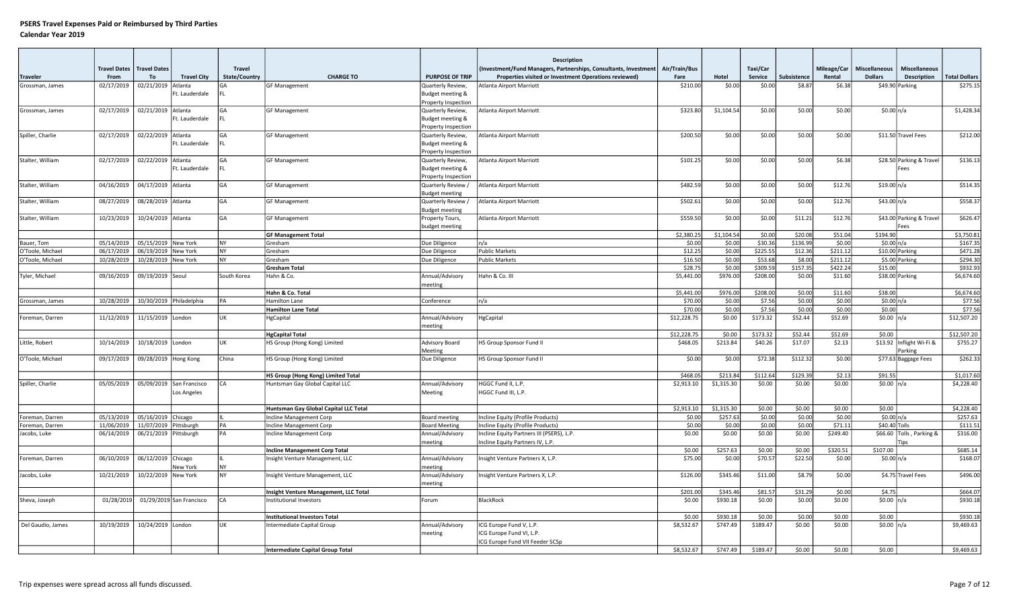|                                    |                             | <b>Travel Dates</b>                              |                          |                                       |                                                    |                                         | Description                                                                                                                | Air/Train/Bus        |                        | Taxi/Car          |                  | Mileage/Car         | <b>Miscellaneous</b>        | <b>Miscellaneous</b>     |                        |
|------------------------------------|-----------------------------|--------------------------------------------------|--------------------------|---------------------------------------|----------------------------------------------------|-----------------------------------------|----------------------------------------------------------------------------------------------------------------------------|----------------------|------------------------|-------------------|------------------|---------------------|-----------------------------|--------------------------|------------------------|
| Traveler                           | <b>Travel Dates</b><br>From | To                                               | <b>Travel City</b>       | <b>Travel</b><br><b>State/Country</b> | <b>CHARGE TO</b>                                   | <b>PURPOSE OF TRIP</b>                  | Investment/Fund Managers, Partnerships, Consultants, Investment  <br>Properties visited or Investment Operations reviewed) | Fare                 | Hotel                  | Service           | Subsistence      | Rental              | <b>Dollars</b>              | Description              | <b>Total Dollars</b>   |
| Grossman, James                    | 02/17/2019                  | 02/21/2019 Atlanta                               |                          |                                       | <b>GF Management</b>                               | Quarterly Review,                       | Atlanta Airport Marriott                                                                                                   | \$210.00             | \$0.00                 | \$0.00            | \$8.8            | \$6.38              |                             | \$49.90 Parking          | \$275.15               |
|                                    |                             |                                                  | Ft. Lauderdale           |                                       |                                                    | Budget meeting &                        |                                                                                                                            |                      |                        |                   |                  |                     |                             |                          |                        |
|                                    |                             |                                                  |                          |                                       |                                                    | <b>Property Inspection</b>              |                                                                                                                            |                      |                        |                   |                  |                     |                             |                          |                        |
| Grossman, James                    | 02/17/2019                  | 02/21/2019 Atlanta                               |                          | GA                                    | <b>GF Management</b>                               | Quarterly Review,                       | Atlanta Airport Marriott                                                                                                   | \$323.80             | \$1,104.54             | \$0.00            | \$0.00           | \$0.00              | \$0.00 n/a                  |                          | \$1,428.34             |
|                                    |                             |                                                  | Ft. Lauderdale           | FI.                                   |                                                    | Budget meeting &                        |                                                                                                                            |                      |                        |                   |                  |                     |                             |                          |                        |
|                                    |                             |                                                  |                          |                                       |                                                    | Property Inspection                     |                                                                                                                            |                      |                        |                   |                  |                     |                             |                          |                        |
| Spiller, Charlie                   | 02/17/2019                  | 02/22/2019 Atlanta                               |                          | GA                                    | <b>GF Management</b>                               | Quarterly Review,                       | <b>Atlanta Airport Marriott</b>                                                                                            | \$200.50             | \$0.00                 | \$0.00            | \$0.00           | \$0.00              |                             | \$11.50 Travel Fees      | \$212.00               |
|                                    |                             |                                                  | Ft. Lauderdale           | FL.                                   |                                                    | Budget meeting &                        |                                                                                                                            |                      |                        |                   |                  |                     |                             |                          |                        |
|                                    |                             |                                                  |                          |                                       |                                                    | Property Inspection                     |                                                                                                                            |                      |                        |                   |                  |                     |                             |                          |                        |
| Stalter, William                   | 02/17/2019                  | 02/22/2019 Atlanta                               |                          | GA                                    | <b>GF Management</b>                               | Quarterly Review,                       | Atlanta Airport Marriott                                                                                                   | \$101.25             | \$0.00                 | \$0.00            | \$0.00           | \$6.38              |                             | \$28.50 Parking & Travel | \$136.13               |
|                                    |                             |                                                  | Ft. Lauderdale           | FI.                                   |                                                    | Budget meeting &                        |                                                                                                                            |                      |                        |                   |                  |                     |                             | Fees                     |                        |
|                                    |                             |                                                  |                          |                                       |                                                    | Property Inspection                     |                                                                                                                            |                      |                        |                   |                  |                     |                             |                          |                        |
| Stalter, William                   | 04/16/2019                  | 04/17/2019 Atlanta                               |                          | GA                                    | <b>GF Management</b>                               | Quarterly Review /                      | Atlanta Airport Marriott                                                                                                   | \$482.59             | \$0.00                 | \$0.00            | \$0.00           | \$12.76             | \$19.00 n/a                 |                          | \$514.35               |
|                                    |                             |                                                  |                          |                                       |                                                    | <b>Budget meeting</b>                   |                                                                                                                            |                      |                        |                   |                  |                     |                             |                          |                        |
| Stalter, William                   | 08/27/2019                  | 08/28/2019 Atlanta                               |                          | lga                                   | <b>GF Management</b>                               | Quarterly Review /                      | Atlanta Airport Marriott                                                                                                   | \$502.61             | \$0.00                 | \$0.00            | \$0.00           | \$12.76             | \$43.00 n/a                 |                          | \$558.37               |
|                                    |                             |                                                  |                          |                                       |                                                    | <b>Budget meeting</b>                   |                                                                                                                            |                      |                        |                   |                  |                     |                             |                          |                        |
| Stalter, William                   | 10/23/2019                  | 10/24/2019 Atlanta                               |                          | GA                                    | <b>GF Management</b>                               | Property Tours,                         | Atlanta Airport Marriott                                                                                                   | \$559.50             | \$0.00                 | \$0.00            | \$11.21          | \$12.76             |                             | \$43.00 Parking & Travel | \$626.47               |
|                                    |                             |                                                  |                          |                                       |                                                    | budget meeting                          |                                                                                                                            |                      | \$1,104.54             |                   | \$20.08          |                     | \$194.90                    | Fees                     | \$3,750.8              |
|                                    | 05/14/2019                  | 05/15/2019 New York                              |                          | <b>NY</b>                             | <b>GF Management Total</b><br>Gresham              |                                         | n/a                                                                                                                        | \$2,380.25<br>\$0.00 | \$0.00                 | \$0.00<br>\$30.36 | \$136.99         | \$51.04<br>\$0.00   | \$0.00 n/a                  |                          | \$167.3                |
| Bauer, Tom<br>O'Toole, Michael     | 06/17/2019                  | 06/19/2019 New York                              |                          | NY                                    | Gresham                                            | Due Diligence<br>Due Diligence          | <b>Public Markets</b>                                                                                                      | \$12.25              | \$0.00                 | \$225.55          | \$12.36          | \$211.12            |                             | \$10.00 Parking          | \$471.2                |
| O'Toole, Michael                   | 10/28/2019                  | 10/28/2019 New York                              |                          | NY                                    | Gresham                                            | Due Diligence                           | <b>Public Markets</b>                                                                                                      | \$16.50              | \$0.00                 | \$53.68           | \$8.00           | \$211.12            |                             | \$5.00 Parking           | \$294.3                |
|                                    |                             |                                                  |                          |                                       | <b>Gresham Total</b>                               |                                         |                                                                                                                            | \$28.75              | \$0.00                 | \$309.59          | \$157.35         | \$422.24            | \$15.00                     |                          | \$932.9                |
| Tyler, Michael                     | 09/16/2019                  | 09/19/2019 Seoul                                 |                          | South Korea                           | Hahn & Co.                                         | Annual/Advisory                         | Hahn & Co. III                                                                                                             | \$5,441.00           | \$976.00               | \$208.00          | \$0.00           | \$11.60             |                             | \$38.00 Parking          | \$6,674.60             |
|                                    |                             |                                                  |                          |                                       |                                                    | meeting                                 |                                                                                                                            |                      |                        |                   |                  |                     |                             |                          |                        |
|                                    |                             |                                                  |                          |                                       | Hahn & Co. Total                                   |                                         |                                                                                                                            | \$5,441.00           | \$976.00               | \$208.00          | \$0.00           | \$11.60             | \$38.00                     |                          | \$6,674.60             |
| Grossman, James                    | 10/28/2019                  |                                                  | 10/30/2019 Philadelphia  | PA                                    | Hamilton Lane                                      | Conference                              | n/a                                                                                                                        | \$70.00              | \$0.00                 | \$7.56            | \$0.00           | \$0.00              | \$0.00 n/a                  |                          | \$77.5                 |
|                                    |                             |                                                  |                          |                                       | <b>Hamilton Lane Total</b>                         |                                         |                                                                                                                            | \$70.00              | \$0.00                 | \$7.56            | \$0.00           | \$0.00              | \$0.00                      |                          | \$77.5                 |
| Foreman, Darren                    | 11/12/2019                  | 11/15/2019 London                                |                          | UK                                    | HgCapital                                          | Annual/Advisory                         | HgCapital                                                                                                                  | \$12,228.75          | \$0.00                 | \$173.32          | \$52.44          | \$52.69             | \$0.00 n/a                  |                          | \$12,507.20            |
|                                    |                             |                                                  |                          |                                       |                                                    | meeting                                 |                                                                                                                            |                      |                        |                   |                  |                     |                             |                          |                        |
|                                    |                             |                                                  |                          |                                       | <b>HgCapital Total</b>                             |                                         |                                                                                                                            | \$12,228.75          | \$0.00                 | \$173.32          | \$52.44          | \$52.69             | \$0.00                      |                          | \$12,507.20            |
| Little, Robert                     | 10/14/2019                  | 10/18/2019 London                                |                          | <b>UK</b>                             | HS Group (Hong Kong) Limited                       | Advisory Board                          | HS Group Sponsor Fund II                                                                                                   | \$468.05             | \$213.84               | \$40.26           | \$17.07          | \$2.13              |                             | \$13.92 Inflight Wi-Fi & | \$755.27               |
|                                    |                             |                                                  |                          |                                       |                                                    | Meeting                                 |                                                                                                                            |                      |                        |                   |                  |                     |                             | Parking                  |                        |
| O'Toole, Michael                   | 09/17/2019                  | 09/28/2019   Hong Kong                           |                          | China                                 | HS Group (Hong Kong) Limited                       | Due Diligence                           | HS Group Sponsor Fund II                                                                                                   | \$0.00               | \$0.00                 | \$72.38           | \$112.32         | \$0.00              |                             | \$77.63 Baggage Fees     | \$262.33               |
|                                    |                             |                                                  |                          |                                       |                                                    |                                         |                                                                                                                            |                      |                        |                   |                  |                     |                             |                          |                        |
|                                    |                             |                                                  |                          |                                       | HS Group (Hong Kong) Limited Total                 |                                         |                                                                                                                            | \$468.05             | \$213.84               | \$112.64          | \$129.39         | \$2.13              | \$91.55                     |                          | \$1,017.6              |
| Spiller, Charlie                   | 05/05/2019                  |                                                  | 05/09/2019 San Francisco | CA                                    | Huntsman Gay Global Capital LLC                    | Annual/Advisory                         | HGGC Fund II, L.P.                                                                                                         | \$2,913.10           | \$1,315.30             | \$0.00            | \$0.00           | \$0.00              | \$0.00 n/a                  |                          | \$4,228.40             |
|                                    |                             |                                                  | Los Angeles              |                                       |                                                    | Meeting                                 | HGGC Fund III, L.P.                                                                                                        |                      |                        |                   |                  |                     |                             |                          |                        |
|                                    |                             |                                                  |                          |                                       |                                                    |                                         |                                                                                                                            |                      |                        |                   |                  |                     |                             |                          |                        |
|                                    | 05/13/2019                  |                                                  |                          |                                       | Huntsman Gay Global Capital LLC Total              |                                         |                                                                                                                            | \$2,913.10           | \$1,315.30<br>\$257.63 | \$0.00<br>\$0.00  | \$0.00<br>\$0.00 | \$0.00<br>\$0.00    | \$0.00                      |                          | \$4,228.40<br>\$257.63 |
| Foreman, Darren<br>Foreman, Darren |                             | 05/16/2019 Chicago                               |                          | PA                                    | <b>Incline Management Corp</b>                     | <b>Board meeting</b>                    | Incline Equity (Profile Products)                                                                                          | \$0.00<br>\$0.00     | \$0.00                 | \$0.00            | \$0.00           |                     | \$0.00 n/a<br>\$40.40 Tolls |                          | \$111.51               |
| Jacobs, Luke                       | 11/06/2019<br>06/14/2019    | 11/07/2019   Pittsburgh<br>06/21/2019 Pittsburgh |                          | PA                                    | Incline Management Corp<br>Incline Management Corp | <b>Board Meeting</b><br>Annual/Advisory | Incline Equity (Profile Products)<br>Incline Equity Partners III (PSERS), L.P.                                             | \$0.00               | \$0.00                 | \$0.00            | \$0.00           | \$71.11<br>\$249.40 |                             | \$66.60 Tolls, Parking & | \$316.00               |
|                                    |                             |                                                  |                          |                                       |                                                    | neeting                                 | Incline Equity Partners IV, L.P.                                                                                           |                      |                        |                   |                  |                     |                             | <b>Tips</b>              |                        |
|                                    |                             |                                                  |                          |                                       | <b>Incline Management Corp Total</b>               |                                         |                                                                                                                            | \$0.00               | \$257.63               | \$0.00            | \$0.00           | \$320.51            | \$107.00                    |                          | \$685.14               |
| Foreman, Darren                    | 06/10/2019                  | 06/12/2019 Chicago                               |                          |                                       | Insight Venture Management, LLC                    | Annual/Advisory                         | Insight Venture Partners X, L.P.                                                                                           | \$75.00              | \$0.00                 | \$70.57           | \$22.50          | \$0.00              | \$0.00 n/a                  |                          | \$168.07               |
|                                    |                             |                                                  | New York                 | NY                                    |                                                    | meeting                                 |                                                                                                                            |                      |                        |                   |                  |                     |                             |                          |                        |
| Jacobs, Luke                       | 10/21/2019                  | 10/22/2019 New York                              |                          | <b>NY</b>                             | Insight Venture Management, LLC                    | Annual/Advisory                         | Insight Venture Partners X, L.P.                                                                                           | \$126.00             | \$345.46               | \$11.00           | \$8.79           | \$0.00              |                             | \$4.75 Travel Fees       | \$496.00               |
|                                    |                             |                                                  |                          |                                       |                                                    | neeting                                 |                                                                                                                            |                      |                        |                   |                  |                     |                             |                          |                        |
|                                    |                             |                                                  |                          |                                       | Insight Venture Management, LLC Total              |                                         |                                                                                                                            | \$201.00             | \$345.46               | \$81.57           | \$31.29          | \$0.00              | \$4.75                      |                          | \$664.0                |
| Sheva, Joseph                      | 01/28/2019                  |                                                  | 01/29/2019 San Francisco | CA                                    | Institutional Investors                            | Forum                                   | <b>BlackRock</b>                                                                                                           | \$0.00               | \$930.18               | \$0.00            | \$0.00           | \$0.00              | \$0.00 n/a                  |                          | \$930.18               |
|                                    |                             |                                                  |                          |                                       |                                                    |                                         |                                                                                                                            |                      |                        |                   |                  |                     |                             |                          |                        |
|                                    |                             |                                                  |                          |                                       | <b>Institutional Investors Total</b>               |                                         |                                                                                                                            | \$0.00               | \$930.18               | \$0.00            | \$0.00           | \$0.00              | \$0.00                      |                          | \$930.1                |
| Del Gaudio, James                  | 10/19/2019                  | 10/24/2019 London                                |                          | UK                                    | Intermediate Capital Group                         | Annual/Advisory                         | ICG Europe Fund V, L.P.                                                                                                    | \$8,532.67           | \$747.49               | \$189.47          | \$0.00           | \$0.00              | \$0.00 $n/a$                |                          | \$9,469.63             |
|                                    |                             |                                                  |                          |                                       |                                                    | neeting                                 | ICG Europe Fund VI, L.P.                                                                                                   |                      |                        |                   |                  |                     |                             |                          |                        |
|                                    |                             |                                                  |                          |                                       |                                                    |                                         | ICG Europe Fund VII Feeder SCSp                                                                                            |                      |                        |                   |                  |                     |                             |                          |                        |
|                                    |                             |                                                  |                          |                                       | Intermediate Capital Group Total                   |                                         |                                                                                                                            | \$8,532.67           | \$747.49               | \$189.47          | \$0.00           | \$0.00              | \$0.00                      |                          | \$9,469.63             |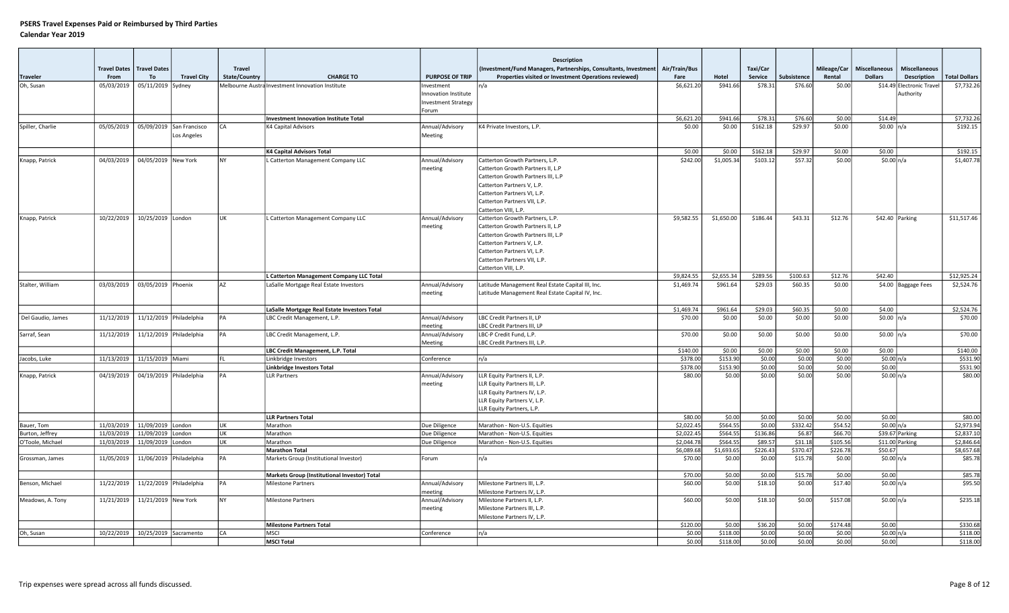|                   |              |                                    |                          |                      |                                                  |                            | <b>Description</b>                                                               |            |            |          |                  |                  |                      |                           |                      |
|-------------------|--------------|------------------------------------|--------------------------|----------------------|--------------------------------------------------|----------------------------|----------------------------------------------------------------------------------|------------|------------|----------|------------------|------------------|----------------------|---------------------------|----------------------|
|                   | Travel Dates | <b>Travel Dates</b>                |                          | <b>Travel</b>        |                                                  |                            | (Investment/Fund Managers, Partnerships, Consultants, Investment   Air/Train/Bus |            |            | Taxi/Car |                  | Mileage/Car      | <b>Miscellaneous</b> | <b>Miscellaneous</b>      |                      |
| <b>Traveler</b>   | From         | To                                 | <b>Travel City</b>       | <b>State/Country</b> | <b>CHARGE TO</b>                                 | <b>PURPOSE OF TRIP</b>     | Properties visited or Investment Operations reviewed)                            | Fare       | Hotel      | Service  | Subsistence      | Rental           | <b>Dollars</b>       | <b>Description</b>        | <b>Total Dollars</b> |
| Oh, Susan         | 05/03/2019   | 05/11/2019 Sydney                  |                          |                      | Melbourne Austra Investment Innovation Institute | nvestment                  |                                                                                  | \$6,621.20 | \$941.66   | \$78.31  | \$76.60          | \$0.00           |                      | \$14.49 Electronic Travel | \$7,732.26           |
|                   |              |                                    |                          |                      |                                                  | Innovation Institute       |                                                                                  |            |            |          |                  |                  |                      | Authority                 |                      |
|                   |              |                                    |                          |                      |                                                  | <b>Investment Strategy</b> |                                                                                  |            |            |          |                  |                  |                      |                           |                      |
|                   |              |                                    |                          |                      | <b>Investment Innovation Institute Total</b>     | Forum                      |                                                                                  | \$6,621.20 | \$941.66   | \$78.31  | \$76.60          | \$0.00           | \$14.49              |                           | \$7,732.26           |
| Spiller, Charlie  | 05/05/2019   |                                    | 05/09/2019 San Francisco | CA                   | K4 Capital Advisors                              | Annual/Advisory            | K4 Private Investors, L.P.                                                       | \$0.00     | \$0.00     | \$162.18 | \$29.97          | \$0.00           | \$0.00 $n/a$         |                           | \$192.15             |
|                   |              |                                    | Los Angeles              |                      |                                                  | Meeting                    |                                                                                  |            |            |          |                  |                  |                      |                           |                      |
|                   |              |                                    |                          |                      | <b>K4 Capital Advisors Total</b>                 |                            |                                                                                  | \$0.00     | \$0.00     | \$162.18 | \$29.97          | \$0.00           | \$0.00               |                           | \$192.15             |
| Knapp, Patrick    | 04/03/2019   | 04/05/2019 New York                |                          | <b>NY</b>            | L Catterton Management Company LLC               | Annual/Advisory            | Catterton Growth Partners, L.P.                                                  | \$242.00   | \$1,005.34 | \$103.12 | \$57.32          | \$0.00           | \$0.00 n/a           |                           | \$1,407.78           |
|                   |              |                                    |                          |                      |                                                  | meeting                    | Catterton Growth Partners II, L.P                                                |            |            |          |                  |                  |                      |                           |                      |
|                   |              |                                    |                          |                      |                                                  |                            | Catterton Growth Partners III, L.P                                               |            |            |          |                  |                  |                      |                           |                      |
|                   |              |                                    |                          |                      |                                                  |                            | Catterton Partners V, L.P.                                                       |            |            |          |                  |                  |                      |                           |                      |
|                   |              |                                    |                          |                      |                                                  |                            | Catterton Partners VI, L.P.                                                      |            |            |          |                  |                  |                      |                           |                      |
|                   |              |                                    |                          |                      |                                                  |                            | Catterton Partners VII, L.P.                                                     |            |            |          |                  |                  |                      |                           |                      |
|                   |              |                                    |                          |                      |                                                  |                            | Catterton VIII, L.P.                                                             |            |            |          |                  |                  |                      |                           |                      |
| Knapp, Patrick    | 10/22/2019   | 10/25/2019 London                  |                          | <b>UK</b>            | Catterton Management Company LLC                 | Annual/Advisory            | Catterton Growth Partners, L.P.                                                  | \$9,582.55 | \$1,650.00 | \$186.44 | \$43.31          | \$12.76          | \$42.40 Parking      |                           | \$11,517.46          |
|                   |              |                                    |                          |                      |                                                  | meeting                    | Catterton Growth Partners II, L.P                                                |            |            |          |                  |                  |                      |                           |                      |
|                   |              |                                    |                          |                      |                                                  |                            | Catterton Growth Partners III, L.P                                               |            |            |          |                  |                  |                      |                           |                      |
|                   |              |                                    |                          |                      |                                                  |                            | Catterton Partners V, L.P.                                                       |            |            |          |                  |                  |                      |                           |                      |
|                   |              |                                    |                          |                      |                                                  |                            | Catterton Partners VI, L.P.                                                      |            |            |          |                  |                  |                      |                           |                      |
|                   |              |                                    |                          |                      |                                                  |                            | Catterton Partners VII, L.P                                                      |            |            |          |                  |                  |                      |                           |                      |
|                   |              |                                    |                          |                      |                                                  |                            | Catterton VIII, L.P.                                                             |            |            |          |                  |                  |                      |                           |                      |
|                   |              |                                    |                          |                      | L Catterton Management Company LLC Total         |                            |                                                                                  | \$9,824.55 | \$2,655.34 | \$289.56 | \$100.63         | \$12.76          | \$42.40              |                           | \$12,925.24          |
| Stalter, William  | 03/03/2019   | 03/05/2019 Phoenix                 |                          | <b>AZ</b>            | LaSalle Mortgage Real Estate Investors           | Annual/Advisory            | Latitude Management Real Estate Capital III, Inc.                                | \$1,469.74 | \$961.64   | \$29.03  | \$60.35          | \$0.00           |                      | \$4.00 Baggage Fees       | \$2,524.76           |
|                   |              |                                    |                          |                      |                                                  | meeting                    | Latitude Management Real Estate Capital IV, Inc.                                 |            |            |          |                  |                  |                      |                           |                      |
|                   |              |                                    |                          |                      | LaSalle Mortgage Real Estate Investors Total     |                            |                                                                                  | \$1,469.74 | \$961.64   | \$29.03  | \$60.35          | \$0.00           | \$4.00               |                           | \$2,524.76           |
| Del Gaudio, James | 11/12/2019   |                                    | 11/12/2019 Philadelphia  | PA                   | LBC Credit Management, L.P.                      | Annual/Advisory            | LBC Credit Partners II, LP                                                       | \$70.00    | \$0.00     | \$0.00   | \$0.00           | \$0.00           | \$0.00 $n/a$         |                           | \$70.00              |
|                   |              |                                    |                          |                      |                                                  | meeting                    | LBC Credit Partners III, LP                                                      |            |            |          |                  |                  |                      |                           |                      |
| Sarraf, Sean      |              | 11/12/2019 11/12/2019 Philadelphia |                          | PA                   | LBC Credit Management, L.P.                      | Annual/Advisory            | LBC-P Credit Fund, L.P.                                                          | \$70.00    | \$0.00     | \$0.00   | \$0.00           | \$0.00           | \$0.00 n/a           |                           | \$70.00              |
|                   |              |                                    |                          |                      |                                                  | Meeting                    | LBC Credit Partners III, L.P.                                                    |            |            |          |                  |                  |                      |                           |                      |
|                   |              |                                    |                          |                      | LBC Credit Management, L.P. Total                |                            |                                                                                  | \$140.00   | \$0.00     | \$0.00   | \$0.00           | \$0.00           | \$0.00               |                           | \$140.00             |
| Jacobs, Luke      |              | 11/13/2019   11/15/2019 Miami      |                          | IFL.                 | Linkbridge Investors                             | Conference                 | n/a                                                                              | \$378.00   | \$153.90   | \$0.00   | \$0.00           | \$0.00           | \$0.00 n/a           |                           | \$531.90             |
|                   |              |                                    |                          |                      | Linkbridge Investors Total                       |                            |                                                                                  | \$378.00   | \$153.90   | \$0.00   | \$0.00<br>\$0.00 | \$0.00<br>\$0.00 | \$0.00               |                           | \$531.90             |
| Knapp, Patrick    | 04/19/2019   |                                    | 04/19/2019 Philadelphia  | PA                   | <b>LLR Partners</b>                              | Annual/Advisory            | LLR Equity Partners II, L.P.                                                     | \$80.00    | \$0.00     | \$0.00   |                  |                  | \$0.00 n/a           |                           | \$80.00              |
|                   |              |                                    |                          |                      |                                                  | meeting                    | LLR Equity Partners III, L.P.                                                    |            |            |          |                  |                  |                      |                           |                      |
|                   |              |                                    |                          |                      |                                                  |                            | LLR Equity Partners IV, L.P                                                      |            |            |          |                  |                  |                      |                           |                      |
|                   |              |                                    |                          |                      |                                                  |                            | LLR Equity Partners V, L.P.                                                      |            |            |          |                  |                  |                      |                           |                      |
|                   |              |                                    |                          |                      | <b>LLR Partners Total</b>                        |                            | LLR Equity Partners, L.P.                                                        | \$80.00    | \$0.00     | \$0.00   | \$0.00           | \$0.00           | \$0.00               |                           | \$80.00              |
| Bauer, Tom        | 11/03/2019   | 11/09/2019 London                  |                          | UK                   | Marathon                                         | Due Diligence              | Marathon - Non-U.S. Equities                                                     | \$2,022.45 | \$564.55   | \$0.00   | \$332.42         | \$54.52          | \$0.00 n/a           |                           | \$2,973.94           |
| Burton, Jeffrey   | 11/03/2019   | 11/09/2019                         | London                   | UK                   | Marathon                                         | Due Diligence              | Marathon - Non-U.S. Equities                                                     | \$2,022.45 | \$564.55   | \$136.86 | \$6.87           | \$66.70          |                      | \$39.67 Parking           | \$2,837.10           |
| O'Toole, Michael  | 11/03/2019   | 11/09/2019                         | London                   | UK                   | Marathon                                         | Due Diligence              | Marathon - Non-U.S. Equities                                                     | \$2,044.78 | \$564.55   | \$89.57  | \$31.18          | \$105.56         |                      | $$11.00$ Parking          | \$2,846.64           |
|                   |              |                                    |                          |                      | <b>Marathon Total</b>                            |                            |                                                                                  | \$6,089.68 | \$1,693.65 | \$226.43 | \$370.47         | \$226.78         | \$50.67              |                           | \$8,657.68           |
| Grossman, James   | 11/05/2019   |                                    | 11/06/2019 Philadelphia  | PA                   | Markets Group (Institutional Investor)           | Forum                      | n/a                                                                              | \$70.00    | \$0.00     | \$0.00   | \$15.78          | \$0.00           | \$0.00 n/a           |                           | \$85.78              |
|                   |              |                                    |                          |                      |                                                  |                            |                                                                                  |            |            |          |                  |                  |                      |                           |                      |
|                   |              |                                    |                          |                      | Markets Group (Institutional Investor) Total     |                            |                                                                                  | \$70.00    | \$0.00     | \$0.00   | \$15.78          | \$0.00           | \$0.00               |                           | \$85.78              |
| Benson, Michael   | 11/22/2019   |                                    | 11/22/2019 Philadelphia  | PA                   | <b>Milestone Partners</b>                        | Annual/Advisory            | Milestone Partners III, L.P.                                                     | \$60.00    | \$0.00     | \$18.10  | \$0.00           | \$17.40          | \$0.00 n/a           |                           | \$95.50              |
|                   |              |                                    |                          |                      |                                                  | meeting                    | Milestone Partners IV, L.P.                                                      |            |            |          |                  |                  |                      |                           |                      |
| Meadows, A. Tony  | 11/21/2019   | 11/21/2019 New York                |                          | <b>NY</b>            | <b>Milestone Partners</b>                        | Annual/Advisory            | Milestone Partners II, L.P.                                                      | \$60.00    | \$0.00     | \$18.10  | \$0.00           | \$157.08         | \$0.00 n/a           |                           | \$235.18             |
|                   |              |                                    |                          |                      |                                                  | meeting                    | Milestone Partners III, L.P.                                                     |            |            |          |                  |                  |                      |                           |                      |
|                   |              |                                    |                          |                      |                                                  |                            | Milestone Partners IV, L.P.                                                      |            |            |          |                  |                  |                      |                           |                      |
|                   |              |                                    |                          |                      | <b>Milestone Partners Total</b>                  |                            |                                                                                  | \$120.00   | \$0.00     | \$36.20  | \$0.00           | \$174.48         | \$0.00               |                           | \$330.68             |
| Oh, Susan         |              | 10/22/2019   10/25/2019 Sacramento |                          | CA                   | MSCI                                             | Conference                 | n/a                                                                              | \$0.00     | \$118.00   | \$0.00   | \$0.00           | \$0.00           | \$0.00 n/a           |                           | \$118.00             |
|                   |              |                                    |                          |                      | <b>MSCI Total</b>                                |                            |                                                                                  | \$0.00     | \$118.00   | \$0.00   | \$0.00           | \$0.00           | \$0.00               |                           | \$118.00             |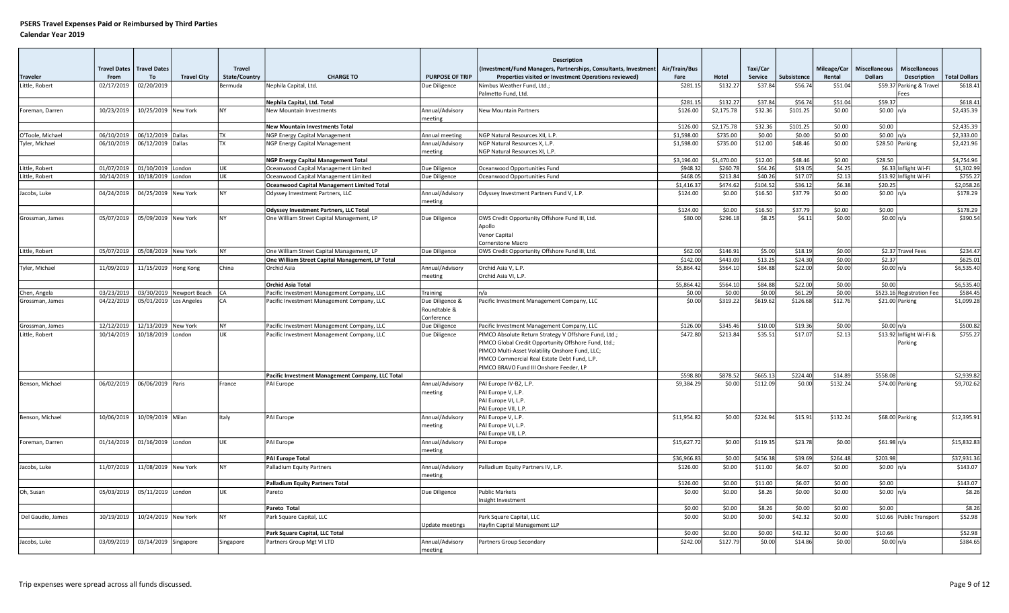|                   |                     |                                   |                          |                      |                                                                                       |                                               | <b>Description</b>                                                                                                                                                                                                                                          |                        |                       |                     |                     |                   |                         |                                     |                        |
|-------------------|---------------------|-----------------------------------|--------------------------|----------------------|---------------------------------------------------------------------------------------|-----------------------------------------------|-------------------------------------------------------------------------------------------------------------------------------------------------------------------------------------------------------------------------------------------------------------|------------------------|-----------------------|---------------------|---------------------|-------------------|-------------------------|-------------------------------------|------------------------|
|                   | <b>Travel Dates</b> | <b>Travel Dates</b>               |                          | <b>Travel</b>        |                                                                                       |                                               | (Investment/Fund Managers, Partnerships, Consultants, Investment                                                                                                                                                                                            | Air/Train/Bus          |                       | Taxi/Car            |                     | Mileage/Car       | <b>Miscellaneous</b>    | Miscellaneous                       |                        |
| Traveler          | From                | To                                | <b>Travel City</b>       | <b>State/Country</b> | <b>CHARGE TO</b>                                                                      | <b>PURPOSE OF TRIP</b>                        | Properties visited or Investment Operations reviewed)                                                                                                                                                                                                       | Fare                   | Hotel                 | Service             | Subsistence         | Rental            | <b>Dollars</b>          | <b>Description</b>                  | <b>Total Dollars</b>   |
| Little, Robert    | 02/17/2019          | 02/20/2019                        |                          | Bermuda              | Nephila Capital, Ltd.                                                                 | Due Diligence                                 | Nimbus Weather Fund, Ltd.;                                                                                                                                                                                                                                  | \$281.15               | \$132.2               | \$37.84             | \$56.74             | \$51.04           |                         | \$59.37 Parking & Travel            | \$618.41               |
|                   |                     |                                   |                          |                      |                                                                                       |                                               | Palmetto Fund, Ltd.                                                                                                                                                                                                                                         | \$281.15               |                       |                     |                     |                   | \$59.37                 | Fees                                |                        |
| Foreman, Darren   | 10/23/2019          | 10/25/2019 New York               |                          | <b>NY</b>            | Nephila Capital, Ltd. Total<br>New Mountain Investments                               | Annual/Advisory                               | New Mountain Partners                                                                                                                                                                                                                                       | \$126.00               | \$132.2<br>\$2,175.78 | \$37.84<br>\$32.36  | \$56.74<br>\$101.25 | \$51.04<br>\$0.00 | \$0.00 $ n/a $          |                                     | \$618.41<br>\$2,435.39 |
|                   |                     |                                   |                          |                      |                                                                                       | neeting                                       |                                                                                                                                                                                                                                                             |                        |                       |                     |                     |                   |                         |                                     |                        |
|                   |                     |                                   |                          |                      | <b>New Mountain Investments Total</b>                                                 |                                               |                                                                                                                                                                                                                                                             | \$126.00               | \$2,175.78            | \$32.36             | \$101.25            | \$0.00            | \$0.00                  |                                     | \$2,435.39             |
| O'Toole, Michael  | 06/10/2019          | 06/12/2019 Dallas                 |                          | l TX                 | NGP Energy Capital Management                                                         | Annual meeting                                | NGP Natural Resources XII, L.P.                                                                                                                                                                                                                             | \$1,598.00             | \$735.00              | \$0.00              | \$0.00              | \$0.00            | \$0.00 $n/a$            |                                     | \$2,333.00             |
| Tyler, Michael    | 06/10/2019          | 06/12/2019 Dallas                 |                          | <b>TX</b>            | NGP Energy Capital Management                                                         | Annual/Advisory                               | NGP Natural Resources X, L.P.                                                                                                                                                                                                                               | \$1,598.00             | \$735.00              | \$12.00             | \$48.46             | \$0.00            | \$28.50 Parking         |                                     | \$2,421.96             |
|                   |                     |                                   |                          |                      |                                                                                       | meeting                                       | NGP Natural Resources XI, L.P.                                                                                                                                                                                                                              |                        |                       |                     |                     |                   |                         |                                     |                        |
|                   |                     |                                   |                          |                      | NGP Energy Capital Management Total                                                   |                                               |                                                                                                                                                                                                                                                             | \$3,196.00             | \$1,470.00            | \$12.00             | \$48.46             | \$0.00            | \$28.50                 |                                     | \$4,754.96             |
| Little, Robert    | 01/07/2019          | 01/10/2019 London                 |                          | <b>UK</b>            | Oceanwood Capital Management Limited                                                  | Due Diligence                                 | Oceanwood Opportunities Fund                                                                                                                                                                                                                                | \$948.3                | \$260.78              | \$64.26             | \$19.05             | \$4.25            |                         | \$6.33 Inflight Wi-Fi               | \$1,302.99             |
| Little, Robert    | 10/14/2019          | 10/18/2019 London                 |                          | UK                   | Oceanwood Capital Management Limited                                                  | Due Diligence                                 | Oceanwood Opportunities Fund                                                                                                                                                                                                                                | \$468.0                | \$213.84              | \$40.26             | \$17.07             | \$2.13            |                         | \$13.92 Inflight Wi-Fi              | \$755.27               |
| Jacobs, Luke      | 04/24/2019          | 04/25/2019 New York               |                          | <b>NY</b>            | <b>Oceanwood Capital Management Limited Total</b><br>Odyssey Investment Partners, LLC | Annual/Advisory                               | Odyssey Investment Partners Fund V, L.P.                                                                                                                                                                                                                    | \$1,416.37<br>\$124.00 | \$474.6<br>\$0.00     | \$104.52<br>\$16.50 | \$36.12<br>\$37.79  | \$6.38<br>\$0.00  | \$20.25<br>\$0.00 $n/a$ |                                     | \$2,058.26<br>\$178.29 |
|                   |                     |                                   |                          |                      |                                                                                       | meeting                                       |                                                                                                                                                                                                                                                             |                        |                       |                     |                     |                   |                         |                                     |                        |
|                   |                     |                                   |                          |                      | <b>Odyssey Investment Partners, LLC Total</b>                                         |                                               |                                                                                                                                                                                                                                                             | \$124.00               | \$0.00                | \$16.50             | \$37.79             | \$0.00            | \$0.00                  |                                     | \$178.29               |
| Grossman, James   | 05/07/2019          | 05/09/2019 New York               |                          | <b>NY</b>            | One William Street Capital Management, LP                                             | Due Diligence                                 | OWS Credit Opportunity Offshore Fund III, Ltd.<br>Apollo<br>Venor Capital                                                                                                                                                                                   | \$80.00                | \$296.18              | \$8.25              | \$6.11              | \$0.00            | \$0.00 n/a              |                                     | \$390.54               |
|                   |                     |                                   |                          |                      |                                                                                       |                                               | Cornerstone Macro                                                                                                                                                                                                                                           |                        |                       |                     |                     |                   |                         |                                     |                        |
| Little, Robert    |                     | 05/07/2019 05/08/2019 New York    |                          | NY                   | One William Street Capital Management, LP                                             | Due Diligence                                 | OWS Credit Opportunity Offshore Fund III, Ltd.                                                                                                                                                                                                              | \$62.00                | \$146.9               | \$5.00              | \$18.19             | \$0.00            |                         | \$2.37 Travel Fees                  | \$234.47               |
|                   |                     |                                   |                          |                      | One William Street Capital Management, LP Total                                       |                                               |                                                                                                                                                                                                                                                             | \$142.00               | \$443.09              | \$13.25             | \$24.30             | \$0.00            | \$2.37                  |                                     | \$625.01               |
| Tyler, Michael    | 11/09/2019          | 11/15/2019 Hong Kong              |                          | China                | Orchid Asia                                                                           | Annual/Advisory<br>meeting                    | Orchid Asia V, L.P.<br>Orchid Asia VI, L.P.                                                                                                                                                                                                                 | \$5,864.42             | \$564.10              | \$84.88             | \$22.00             | \$0.00            | \$0.00 n/a              |                                     | \$6,535.40             |
|                   |                     |                                   |                          |                      | <b>Orchid Asia Total</b>                                                              |                                               |                                                                                                                                                                                                                                                             | \$5,864.42             | \$564.1               | \$84.88             | \$22.00             | \$0.00            | \$0.00                  |                                     | \$6,535.40             |
| Chen, Angela      | 03/23/2019          |                                   | 03/30/2019 Newport Beach | CA                   | Pacific Investment Management Company, LLC                                            | Training                                      | n/a                                                                                                                                                                                                                                                         | \$0.00                 | \$0.00                | \$0.00              | \$61.29             | \$0.00            |                         | \$523.16 Registration Fee           | \$584.45               |
| Grossman, James   | 04/22/2019          |                                   | 05/01/2019 Los Angeles   | CA                   | Pacific Investment Management Company, LLC                                            | Due Diligence &<br>Roundtable &<br>Conference | Pacific Investment Management Company, LLC                                                                                                                                                                                                                  | \$0.00                 | \$319.22              | \$619.62            | \$126.68            | \$12.76           | $$21.00$ Parking        |                                     | \$1,099.28             |
| Grossman, James   | 12/12/2019          | 12/13/2019 New York               |                          | <b>NY</b>            | Pacific Investment Management Company, LLC                                            | Due Diligence                                 | Pacific Investment Management Company, LLC                                                                                                                                                                                                                  | \$126.00               | \$345.46              | \$10.00             | \$19.36             | \$0.00            | \$0.00 n/a              |                                     | \$500.82               |
| Little, Robert    | 10/14/2019          | 10/18/2019 London                 |                          | <b>UK</b>            | Pacific Investment Management Company, LLC                                            | Due Diligence                                 | PIMCO Absolute Return Strategy V Offshore Fund, Ltd.;<br>PIMCO Global Credit Opportunity Offshore Fund, Ltd.;<br>PIMCO Multi-Asset Volatility Onshore Fund, LLC;<br>PIMCO Commercial Real Estate Debt Fund, L.P.<br>PIMCO BRAVO Fund III Onshore Feeder, LP | \$472.80               | \$213.84              | \$35.51             | \$17.07             | \$2.13            |                         | \$13.92 Inflight Wi-Fi &<br>Parking | \$755.27               |
|                   |                     |                                   |                          |                      | Pacific Investment Management Company, LLC Total                                      |                                               |                                                                                                                                                                                                                                                             | \$598.80               | \$878.52              | \$665.13            | \$224.40            | \$14.89           | \$558.08                |                                     | \$2,939.82             |
| Benson, Michael   |                     | 06/02/2019 06/06/2019 Paris       |                          | France               | PAI Europe                                                                            | Annual/Advisory<br>meeting                    | PAI Europe IV-B2, L.P.<br>PAI Europe V, L.P.<br>PAI Europe VI, L.P.<br>PAI Europe VII, L.P.                                                                                                                                                                 | \$9,384.29             | \$0.00                | \$112.09            | \$0.00              | \$132.24          | \$74.00 Parking         |                                     | \$9,702.62             |
| Benson, Michael   | 10/06/2019          | 10/09/2019 Milan                  |                          | Italy                | PAI Europe                                                                            | Annual/Advisory<br>meeting                    | PAI Europe V, L.P.<br>PAI Europe VI, L.P.<br>PAI Europe VII, L.P.                                                                                                                                                                                           | \$11,954.82            | \$0.00                | \$224.94            | \$15.91             | \$132.24          | \$68.00 Parking         |                                     | \$12,395.91            |
| Foreman, Darren   | 01/14/2019          | 01/16/2019 London                 |                          | <b>UK</b>            | PAI Europe                                                                            | Annual/Advisory<br>neeting                    | PAI Europe                                                                                                                                                                                                                                                  | \$15,627.72            | \$0.00                | \$119.35            | \$23.78             | \$0.00            | \$61.98 n/a             |                                     | \$15,832.83            |
|                   |                     |                                   |                          |                      | PAI Europe Total                                                                      |                                               |                                                                                                                                                                                                                                                             | \$36,966.83            | \$0.00                | \$456.38            | \$39.69             | \$264.48          | \$203.98                |                                     | \$37,931.36            |
| Jacobs, Luke      | 11/07/2019          | 11/08/2019 New York               |                          | INY.                 | Palladium Equity Partners                                                             | Annual/Advisory<br>meeting                    | Palladium Equity Partners IV, L.P                                                                                                                                                                                                                           | \$126.00               | \$0.00                | \$11.00             | \$6.07              | \$0.00            | \$0.00 n/a              |                                     | \$143.07               |
|                   |                     |                                   |                          |                      | Palladium Equity Partners Total                                                       |                                               |                                                                                                                                                                                                                                                             | \$126.00               | \$0.00                | \$11.00             | \$6.07              | \$0.00            | \$0.00                  |                                     | \$143.07               |
| Oh, Susan         | 05/03/2019          | 05/11/2019 London                 |                          | UK                   | Pareto                                                                                | Due Diligence                                 | <b>Public Markets</b><br>nsight Investment                                                                                                                                                                                                                  | \$0.00                 | \$0.00                | \$8.26              | \$0.00              | \$0.00            | \$0.00 n/a              |                                     | \$8.26                 |
|                   |                     |                                   |                          |                      | Pareto Total                                                                          |                                               |                                                                                                                                                                                                                                                             | \$0.00                 | \$0.00                | \$8.26              | \$0.00              | \$0.00            | \$0.00                  |                                     | \$8.26                 |
| Del Gaudio, James | 10/19/2019          | 10/24/2019 New York               |                          | <b>NY</b>            | Park Square Capital, LLC                                                              | Update meetings                               | Park Square Capital, LLC<br>Hayfin Capital Management LLP                                                                                                                                                                                                   | \$0.00                 | \$0.00                | \$0.00              | \$42.32             | \$0.00            | \$10.66                 | Public Transport                    | \$52.98                |
|                   |                     |                                   |                          |                      | Park Square Capital, LLC Total                                                        |                                               |                                                                                                                                                                                                                                                             | \$0.00                 | \$0.00                | \$0.00              | \$42.32             | \$0.00            | \$10.66                 |                                     | \$52.98                |
| Jacobs, Luke      |                     | 03/09/2019   03/14/2019 Singapore |                          | Singapore            | Partners Group Mgt VI LTD                                                             | Annual/Advisory<br>meeting                    | Partners Group Secondary                                                                                                                                                                                                                                    | \$242.00               | \$127.79              | \$0.00              | \$14.86             | \$0.00            | \$0.00 n/a              |                                     | \$384.65               |
|                   |                     |                                   |                          |                      |                                                                                       |                                               |                                                                                                                                                                                                                                                             |                        |                       |                     |                     |                   |                         |                                     |                        |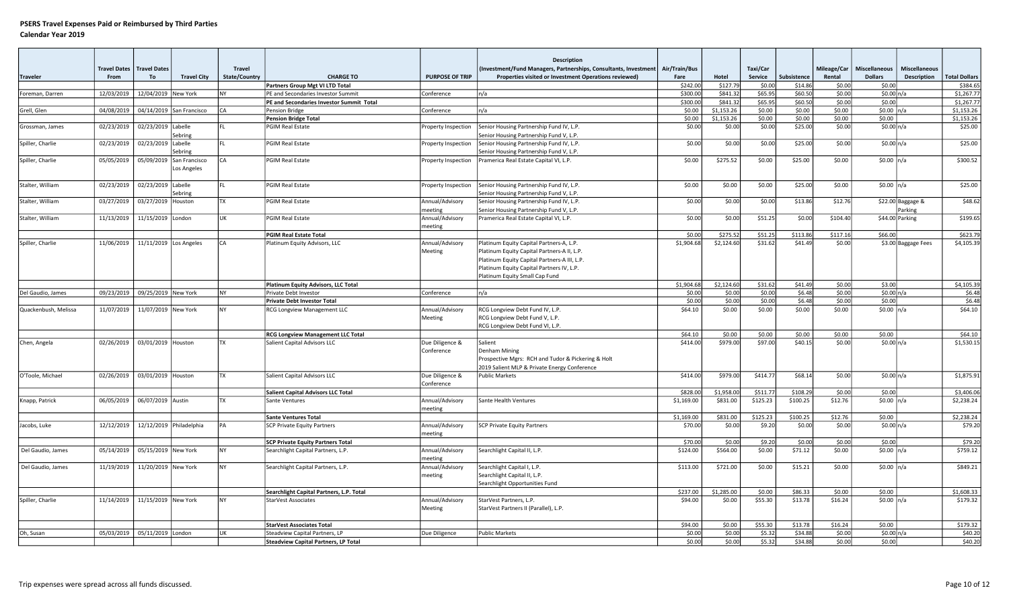|                      |                     |                                |                          |                      |                                             |                        | <b>Description</b>                                                                 |            |            |          |             |             |                      |                     |                      |
|----------------------|---------------------|--------------------------------|--------------------------|----------------------|---------------------------------------------|------------------------|------------------------------------------------------------------------------------|------------|------------|----------|-------------|-------------|----------------------|---------------------|----------------------|
|                      | <b>Travel Dates</b> | <b>Travel Dates</b>            |                          | <b>Travel</b>        |                                             |                        | (Investment/Fund Managers, Partnerships, Consultants, Investment   Air/Train/Bus   |            |            | Taxi/Car |             | Mileage/Car | <b>Miscellaneous</b> | Miscellaneous       |                      |
| <b>Traveler</b>      | From                | To                             | <b>Travel City</b>       | <b>State/Country</b> | <b>CHARGE TO</b>                            | <b>PURPOSE OF TRIP</b> | Properties visited or Investment Operations reviewed)                              | Fare       | Hotel      | Service  | Subsistence | Rental      | <b>Dollars</b>       | <b>Description</b>  | <b>Total Dollars</b> |
|                      |                     |                                |                          |                      | Partners Group Mgt VI LTD Total             |                        |                                                                                    | \$242.00   | \$127.7    | \$0.00   | \$14.86     | \$0.00      | \$0.00               |                     | \$384.65             |
| Foreman, Darren      | 12/03/2019          | 12/04/2019 New York            |                          | <b>NY</b>            | PE and Secondaries Investor Summit          | Conference             | n/a                                                                                | \$300.00   | \$841.32   | \$65.95  | \$60.50     | \$0.00      | \$0.00 n/a           |                     | \$1,267.77           |
|                      |                     |                                |                          |                      | PE and Secondaries Investor Summit Total    |                        |                                                                                    | \$300.00   | \$841.32   | \$65.95  | \$60.50     | \$0.00      | 50.00                |                     | \$1,267.77           |
| Grell, Glen          | 04/08/2019          |                                | 04/14/2019 San Francisco | lca                  | <b>Pension Bridge</b>                       | Conference             | n/a                                                                                | \$0.00     | \$1,153.26 | \$0.00   | \$0.00      | \$0.00      | $$0.00$ $n/a$        |                     | \$1,153.26           |
|                      |                     |                                |                          |                      | <b>Pension Bridge Total</b>                 |                        |                                                                                    | \$0.00     | \$1,153.26 | \$0.00   | \$0.00      | \$0.00      | \$0.00               |                     | \$1,153.26           |
| Grossman, James      | 02/23/2019          | 02/23/2019 Labelle             |                          |                      | <b>PGIM Real Estate</b>                     | Property Inspection    | Senior Housing Partnership Fund IV, L.P.                                           | \$0.00     | \$0.00     | \$0.00   | \$25.00     | \$0.00      | \$0.00 n/a           |                     | \$25.00              |
| Spiller, Charlie     | 02/23/2019          | 02/23/2019                     | Sebring<br>Labelle       |                      | <b>PGIM Real Estate</b>                     | Property Inspection    | Senior Housing Partnership Fund V, L.P<br>Senior Housing Partnership Fund IV, L.P. | \$0.00     | \$0.00     | \$0.00   | \$25.00     | \$0.00      | \$0.00 n/a           |                     | \$25.00              |
|                      |                     |                                | Sebring                  |                      |                                             |                        | Senior Housing Partnership Fund V, L.P                                             |            |            |          |             |             |                      |                     |                      |
| Spiller, Charlie     | 05/05/2019          | 05/09/2019                     | San Francisco            | CA                   | <b>PGIM Real Estate</b>                     | Property Inspection    | Pramerica Real Estate Capital VI, L.P.                                             | \$0.00     | \$275.52   | \$0.00   | \$25.00     | \$0.00      | \$0.00 $n/a$         |                     | \$300.52             |
|                      |                     |                                | Los Angeles              |                      |                                             |                        |                                                                                    |            |            |          |             |             |                      |                     |                      |
|                      |                     |                                |                          |                      |                                             |                        |                                                                                    |            |            |          |             |             |                      |                     |                      |
| Stalter, William     | 02/23/2019          | 02/23/2019                     | Labelle                  | FL.                  | <b>PGIM Real Estate</b>                     | Property Inspection    | Senior Housing Partnership Fund IV, L.P.                                           | \$0.00     | \$0.00     | \$0.00   | \$25.00     | \$0.00      | \$0.00 $n/a$         |                     | \$25.00              |
|                      |                     |                                | ebring                   |                      |                                             |                        | Senior Housing Partnership Fund V, L.P.                                            |            |            |          |             |             |                      |                     |                      |
| Stalter, William     | 03/27/2019          | 03/27/2019                     | Houston                  | <b>TX</b>            | <b>PGIM Real Estate</b>                     | Annual/Advisory        | Senior Housing Partnership Fund IV, L.P.                                           | \$0.00     | \$0.00     | \$0.00   | \$13.86     | \$12.76     |                      | \$22.00 Baggage &   | \$48.62              |
|                      |                     |                                |                          |                      |                                             | neeting                | Senior Housing Partnership Fund V, L.P.                                            |            |            |          |             |             |                      | Parking             |                      |
| Stalter, William     | 11/13/2019          | 11/15/2019                     | London                   | UK                   | <b>PGIM Real Estate</b>                     | Annual/Advisory        | Pramerica Real Estate Capital VI, L.P.                                             | \$0.00     | \$0.00     | \$51.25  | \$0.00      | \$104.40    |                      | \$44.00 Parking     | \$199.65             |
|                      |                     |                                |                          |                      |                                             | meeting                |                                                                                    |            |            |          |             |             |                      |                     |                      |
|                      |                     |                                |                          |                      | <b>PGIM Real Estate Total</b>               |                        |                                                                                    | \$0.00     | \$275.52   | \$51.25  | \$113.86    | \$117.16    | \$66.00              |                     | \$623.79             |
| Spiller, Charlie     | 11/06/2019          |                                | 11/11/2019 Los Angeles   | CA                   | Platinum Equity Advisors, LLC               | Annual/Advisory        | Platinum Equity Capital Partners-A, L.P.                                           | \$1,904.68 | \$2,124.60 | \$31.62  | \$41.49     | \$0.00      |                      | \$3.00 Baggage Fees | \$4,105.39           |
|                      |                     |                                |                          |                      |                                             | Meeting                | Platinum Equity Capital Partners-A II, L.P.                                        |            |            |          |             |             |                      |                     |                      |
|                      |                     |                                |                          |                      |                                             |                        | Platinum Equity Capital Partners-A III, L.P.                                       |            |            |          |             |             |                      |                     |                      |
|                      |                     |                                |                          |                      |                                             |                        | Platinum Equity Capital Partners IV, L.P.<br>Platinum Equity Small Cap Fund        |            |            |          |             |             |                      |                     |                      |
|                      |                     |                                |                          |                      | Platinum Equity Advisors, LLC Total         |                        |                                                                                    | \$1,904.68 | \$2,124.60 | \$31.62  | \$41.49     | \$0.00      | \$3.00               |                     | \$4,105.39           |
| Del Gaudio, James    | 09/23/2019          | 09/25/2019 New York            |                          | NY.                  | Private Debt Investor                       | Conference             | n/a                                                                                | \$0.00     | \$0.00     | \$0.00   | \$6.48      | \$0.00      | \$0.00 n/a           |                     | \$6.48               |
|                      |                     |                                |                          |                      | Private Debt Investor Total                 |                        |                                                                                    | \$0.00     | \$0.00     | \$0.00   | \$6.48      | \$0.00      | \$0.00               |                     | \$6.48               |
| Quackenbush, Melissa | 11/07/2019          | 11/07/2019 New York            |                          | <b>NY</b>            | RCG Longview Management LLC                 | Annual/Advisory        | RCG Longview Debt Fund IV, L.P.                                                    | \$64.10    | \$0.00     | \$0.00   | \$0.00      | \$0.00      | \$0.00 n/a           |                     | \$64.10              |
|                      |                     |                                |                          |                      |                                             | Meeting                | RCG Longview Debt Fund V, L.P.                                                     |            |            |          |             |             |                      |                     |                      |
|                      |                     |                                |                          |                      |                                             |                        | RCG Longview Debt Fund VI, L.P.                                                    |            |            |          |             |             |                      |                     |                      |
|                      |                     |                                |                          |                      | <b>RCG Longview Management LLC Total</b>    |                        |                                                                                    | \$64.10    | \$0.00     | \$0.00   | \$0.00      | \$0.00      | \$0.00               |                     | \$64.10              |
| Chen, Angela         | 02/26/2019          | 03/01/2019 Houston             |                          | <b>TX</b>            | Salient Capital Advisors LLC                | Due Diligence &        | Salient                                                                            | \$414.00   | \$979.00   | \$97.00  | \$40.15     | \$0.00      | \$0.00 n/a           |                     | \$1,530.15           |
|                      |                     |                                |                          |                      |                                             | Conference             | <b>Denham Mining</b>                                                               |            |            |          |             |             |                      |                     |                      |
|                      |                     |                                |                          |                      |                                             |                        | Prospective Mgrs: RCH and Tudor & Pickering & Holt                                 |            |            |          |             |             |                      |                     |                      |
|                      |                     |                                |                          |                      |                                             |                        | 2019 Salient MLP & Private Energy Conference                                       |            |            |          |             |             |                      |                     |                      |
| O'Toole, Michael     | 02/26/2019          | 03/01/2019 Houston             |                          | <b>TX</b>            | Salient Capital Advisors LLC                | Due Diligence &        | <b>Public Markets</b>                                                              | \$414.00   | \$979.00   | \$414.77 | \$68.14     | \$0.00      | \$0.00 n/a           |                     | \$1,875.91           |
|                      |                     |                                |                          |                      |                                             | Conference             |                                                                                    |            |            |          |             |             |                      |                     |                      |
|                      |                     |                                |                          |                      | <b>Salient Capital Advisors LLC Total</b>   |                        |                                                                                    | \$828.00   | \$1,958.00 | \$511.77 | \$108.29    | \$0.00      | \$0.00               |                     | \$3,406.06           |
| Knapp, Patrick       | 06/05/2019          | 06/07/2019 Austin              |                          | <b>TX</b>            | Sante Ventures                              | Annual/Advisory        | Sante Health Ventures                                                              | \$1,169.00 | \$831.00   | \$125.23 | \$100.25    | \$12.76     | \$0.00 n/a           |                     | \$2,238.24           |
|                      |                     |                                |                          |                      |                                             | meeting                |                                                                                    |            |            |          |             |             |                      |                     |                      |
|                      |                     |                                |                          |                      | <b>Sante Ventures Total</b>                 |                        |                                                                                    | \$1,169.00 | \$831.00   | \$125.23 | \$100.25    | \$12.76     | \$0.00               |                     | \$2,238.24           |
| Jacobs, Luke         | 12/12/2019          |                                | 12/12/2019 Philadelphia  | PA                   | <b>SCP Private Equity Partners</b>          | Annual/Advisory        | <b>SCP Private Equity Partners</b>                                                 | \$70.00    | \$0.00     | \$9.20   | \$0.00      | \$0.00      | \$0.00 n/a           |                     | \$79.20              |
|                      |                     |                                |                          |                      | <b>SCP Private Equity Partners Total</b>    | meeting                |                                                                                    | \$70.00    | \$0.00     | \$9.20   | \$0.00      | \$0.00      | \$0.00               |                     | \$79.20              |
| Del Gaudio, James    | 05/14/2019          | 05/15/2019 New York            |                          | <b>NY</b>            | Searchlight Capital Partners, L.P.          | Annual/Advisory        | Searchlight Capital II, L.P.                                                       | \$124.00   | \$564.00   | \$0.00   | \$71.12     | \$0.00      | \$0.00 $n/a$         |                     | \$759.12             |
|                      |                     |                                |                          |                      |                                             | meeting                |                                                                                    |            |            |          |             |             |                      |                     |                      |
| Del Gaudio, James    |                     | 11/19/2019 11/20/2019 New York |                          | <b>NY</b>            | Searchlight Capital Partners, L.P.          | Annual/Advisory        | Searchlight Capital I, L.P.                                                        | \$113.00   | \$721.00   | \$0.00   | \$15.21     | \$0.00      | \$0.00 $n/a$         |                     | \$849.21             |
|                      |                     |                                |                          |                      |                                             | meeting                | Searchlight Capital II, L.P.                                                       |            |            |          |             |             |                      |                     |                      |
|                      |                     |                                |                          |                      |                                             |                        | Searchlight Opportunities Fund                                                     |            |            |          |             |             |                      |                     |                      |
|                      |                     |                                |                          |                      | Searchlight Capital Partners, L.P. Total    |                        |                                                                                    | \$237.00   | \$1,285.00 | \$0.00   | \$86.33     | \$0.00      | \$0.00               |                     | \$1,608.33           |
| Spiller, Charlie     |                     | 11/14/2019 11/15/2019 New York |                          | <b>NY</b>            | StarVest Associates                         | Annual/Advisory        | StarVest Partners, L.P.                                                            | \$94.00    | \$0.00     | \$55.30  | \$13.78     | \$16.24     | \$0.00 $n/a$         |                     | \$179.32             |
|                      |                     |                                |                          |                      |                                             | Meeting                | StarVest Partners II (Parallel), L.P.                                              |            |            |          |             |             |                      |                     |                      |
|                      |                     |                                |                          |                      |                                             |                        |                                                                                    |            |            |          |             |             |                      |                     |                      |
|                      |                     |                                |                          |                      | <b>StarVest Associates Total</b>            |                        |                                                                                    | \$94.00    | \$0.00     | \$55.30  | \$13.78     | \$16.24     | \$0.00               |                     | \$179.32             |
| Oh, Susan            |                     | 05/03/2019 05/11/2019 London   |                          | UK                   | Steadview Capital Partners, LP              | Due Diligence          | <b>Public Markets</b>                                                              | \$0.00     | \$0.00     | \$5.32   | \$34.88     | \$0.00      | \$0.00 n/a           |                     | \$40.20              |
|                      |                     |                                |                          |                      | <b>Steadview Capital Partners, LP Total</b> |                        |                                                                                    | \$0.00     | \$0.00     | \$5.32   | \$34.88     | \$0.00      | 50.00                |                     | \$40.20              |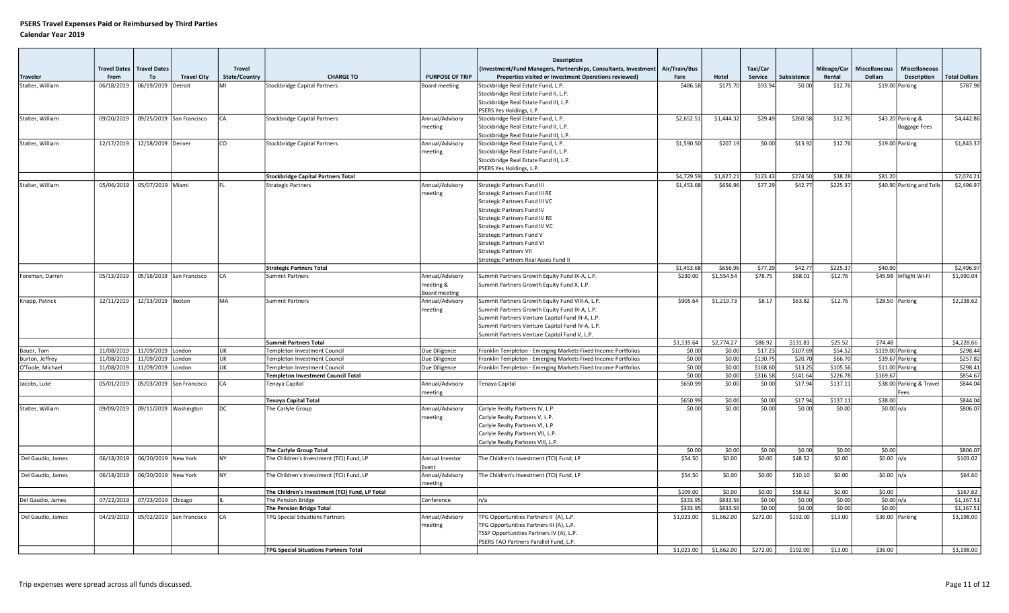|                   | <b>Travel Dates</b> | <b>Travel Dates</b> |                          | <b>Travel</b>        |                                                |                        | <b>Description</b><br>(Investment/Fund Managers, Partnerships, Consultants, Investment | Air/Train/Bus |            | Taxi/Car |             | Mileage/Car | <b>Miscellaneous</b> | <b>Miscellaneous</b>      |                      |
|-------------------|---------------------|---------------------|--------------------------|----------------------|------------------------------------------------|------------------------|----------------------------------------------------------------------------------------|---------------|------------|----------|-------------|-------------|----------------------|---------------------------|----------------------|
| Traveler          | From                | To                  | <b>Travel City</b>       | <b>State/Country</b> | <b>CHARGE TO</b>                               | <b>PURPOSE OF TRIP</b> | Properties visited or Investment Operations reviewed)                                  | Fare          | Hotel      | Service  | Subsistence | Rental      | <b>Dollars</b>       | <b>Description</b>        | <b>Total Dollars</b> |
| Stalter, William  | 06/18/2019          | 06/19/2019          | Detroit                  | MI                   | <b>Stockbridge Capital Partners</b>            | Board meeting          | Stockbridge Real Estate Fund, L.P.                                                     | \$486.58      | \$175.70   | \$93.94  | \$0.00      | \$12.76     |                      | $$19.00$ Parking          | \$787.98             |
|                   |                     |                     |                          |                      |                                                |                        | Stockbridge Real Estate Fund II, L.P.                                                  |               |            |          |             |             |                      |                           |                      |
|                   |                     |                     |                          |                      |                                                |                        | Stockbridge Real Estate Fund III, L.P.                                                 |               |            |          |             |             |                      |                           |                      |
|                   |                     |                     |                          |                      |                                                |                        | PSERS Yes Holdings, L.P.                                                               |               |            |          |             |             |                      |                           |                      |
| Stalter, William  | 09/20/2019          |                     | 09/25/2019 San Francisco | CA                   | Stockbridge Capital Partners                   | Annual/Advisory        | Stockbridge Real Estate Fund, L.P.                                                     | \$2,652.51    | \$1,444.32 | \$29.49  | \$260.58    | \$12.76     |                      | \$43.20 Parking &         | \$4,442.86           |
|                   |                     |                     |                          |                      |                                                | meeting                | Stockbridge Real Estate Fund II, L.P.                                                  |               |            |          |             |             |                      | Baggage Fees              |                      |
|                   |                     |                     |                          |                      |                                                |                        | Stockbridge Real Estate Fund III, L.P.                                                 |               |            |          |             |             |                      |                           |                      |
| Stalter, William  | 12/17/2019          | 12/18/2019 Denver   |                          | CO                   | <b>Stockbridge Capital Partners</b>            | Annual/Advisory        | Stockbridge Real Estate Fund, L.P.                                                     | \$1,590.50    | \$207.19   | \$0.00   | \$13.92     | \$12.76     |                      | \$19.00 Parking           | \$1,843.37           |
|                   |                     |                     |                          |                      |                                                | meeting                | Stockbridge Real Estate Fund II, L.P.                                                  |               |            |          |             |             |                      |                           |                      |
|                   |                     |                     |                          |                      |                                                |                        | Stockbridge Real Estate Fund III, L.P.                                                 |               |            |          |             |             |                      |                           |                      |
|                   |                     |                     |                          |                      |                                                |                        | PSERS Yes Holdings, L.P.                                                               |               |            |          |             |             |                      |                           |                      |
|                   |                     |                     |                          |                      | <b>Stockbridge Capital Partners Total</b>      |                        |                                                                                        | \$4,729.59    | \$1,827.21 | \$123.43 | \$274.50    | \$38.28     | \$81.20              |                           | \$7,074.21           |
| Stalter, William  | 05/06/2019          | 05/07/2019 Miami    |                          | FL.                  | <b>Strategic Partners</b>                      | Annual/Advisory        | <b>Strategic Partners Fund III</b>                                                     | \$1,453.68    | \$656.96   | \$77.29  | \$42.77     | \$225.37    |                      | \$40.90 Parking and Tolls | \$2,496.97           |
|                   |                     |                     |                          |                      |                                                | meeting                | <b>Strategic Partners Fund III RE</b>                                                  |               |            |          |             |             |                      |                           |                      |
|                   |                     |                     |                          |                      |                                                |                        | Strategic Partners Fund III VC                                                         |               |            |          |             |             |                      |                           |                      |
|                   |                     |                     |                          |                      |                                                |                        | Strategic Partners Fund IV                                                             |               |            |          |             |             |                      |                           |                      |
|                   |                     |                     |                          |                      |                                                |                        | Strategic Partners Fund IV RE                                                          |               |            |          |             |             |                      |                           |                      |
|                   |                     |                     |                          |                      |                                                |                        | Strategic Partners Fund IV VC                                                          |               |            |          |             |             |                      |                           |                      |
|                   |                     |                     |                          |                      |                                                |                        | Strategic Partners Fund V                                                              |               |            |          |             |             |                      |                           |                      |
|                   |                     |                     |                          |                      |                                                |                        | Strategic Partners Fund VI                                                             |               |            |          |             |             |                      |                           |                      |
|                   |                     |                     |                          |                      |                                                |                        | <b>Strategic Partners VII</b>                                                          |               |            |          |             |             |                      |                           |                      |
|                   |                     |                     |                          |                      |                                                |                        | Strategic Partners Real Asses Fund II                                                  |               |            |          |             |             |                      |                           |                      |
|                   |                     |                     |                          |                      | <b>Strategic Partners Total</b>                |                        |                                                                                        | \$1,453.68    | \$656.96   | \$77.29  | \$42.77     | \$225.3     | \$40.90              |                           | \$2,496.9            |
| Foreman, Darren   | 05/13/2019          |                     | 05/16/2019 San Francisco | CA                   | Summit Partners                                | Annual/Advisory        | Summit Partners Growth Equity Fund IX-A, L.P.                                          | \$230.00      | \$1,554.54 | \$78.75  | \$68.01     | \$12.76     | \$45.98              | Inflight Wi-Fi            | \$1,990.04           |
|                   |                     |                     |                          |                      |                                                | meeting &              | Summit Partners Growth Equity Fund X, L.P.                                             |               |            |          |             |             |                      |                           |                      |
|                   |                     |                     |                          |                      |                                                | Board meeting          |                                                                                        |               |            |          |             |             |                      |                           |                      |
| Knapp, Patrick    | 12/11/2019          | 12/13/2019 Boston   |                          | MA                   | Summit Partners                                | Annual/Advisory        | Summit Partners Growth Equity Fund VIII-A, L.P.                                        | \$905.64      | \$1,219.73 | \$8.17   | \$63.82     | \$12.76     |                      | \$28.50 Parking           | \$2,238.62           |
|                   |                     |                     |                          |                      |                                                | meeting                | Summit Partners Growth Equity Fund IX-A, L.P.                                          |               |            |          |             |             |                      |                           |                      |
|                   |                     |                     |                          |                      |                                                |                        | Summit Partners Venture Capital Fund III-A, L.P.                                       |               |            |          |             |             |                      |                           |                      |
|                   |                     |                     |                          |                      |                                                |                        | Summit Partners Venture Capital Fund IV-A, L.P.                                        |               |            |          |             |             |                      |                           |                      |
|                   |                     |                     |                          |                      |                                                |                        | Summit Partners Venture Capital Fund V, L.P.                                           |               |            |          |             |             |                      |                           |                      |
|                   |                     |                     |                          |                      | Summit Partners Total                          |                        |                                                                                        | \$1,135.64    | \$2,774.27 | \$86.92  | \$131.83    | \$25.52     | \$74.48              |                           | \$4,228.66           |
| Bauer, Tom        | 11/08/2019          | 11/09/2019 London   |                          | UK                   | <b>Templeton Investment Council</b>            | Due Diligence          | Franklin Templeton - Emerging Markets Fixed Income Portfolios                          | \$0.00        | \$0.00     | \$17.23  | \$107.69    | \$54.5      |                      | \$119.00 Parking          | \$298.44             |
| Burton, Jeffrey   | 11/08/2019          | 11/09/2019 London   |                          | UK                   | Templeton Investment Council                   | Due Diligence          | Franklin Templeton - Emerging Markets Fixed Income Portfolios                          | \$0.00        | \$0.00     | \$130.75 | \$20.70     | \$66.70     |                      | \$39.67 Parking           | \$257.82             |
| O'Toole, Michael  | 11/08/2019          | 11/09/2019 London   |                          | <b>UK</b>            | Templeton Investment Council                   | Due Diligence          | Franklin Templeton - Emerging Markets Fixed Income Portfolios                          | \$0.00        | \$0.00     | \$168.60 | \$13.25     | \$105.56    |                      | \$11.00 Parking           | \$298.41             |
|                   |                     |                     |                          |                      | <b>Templeton Investment Council Total</b>      |                        |                                                                                        | \$0.00        | \$0.00     | \$316.58 | \$141.64    | \$226.78    | \$169.67             |                           | \$854.67             |
| Jacobs, Luke      | 05/01/2019          |                     | 05/03/2019 San Francisco | CA                   | Tenaya Capital                                 | Annual/Advisory        | Tenaya Capital                                                                         | \$650.99      | \$0.00     | \$0.00   | \$17.94     | \$137.11    |                      | \$38.00 Parking & Travel  | \$844.04             |
|                   |                     |                     |                          |                      |                                                | neeting                |                                                                                        |               |            |          |             |             |                      | ees-                      |                      |
|                   |                     |                     |                          |                      | <b>Tenaya Capital Total</b>                    |                        |                                                                                        | \$650.99      | \$0.00     | \$0.00   | \$17.94     | \$137.11    | \$38.00              |                           | \$844.04             |
| Stalter. William  | 09/09/2019          |                     | 09/11/2019 Washington    | DC                   | The Carlyle Group                              | Annual/Advisory        | Carlyle Realty Partners IV, L.P.                                                       | \$0.00        | \$0.00     | \$0.00   | \$0.00      | \$0.00      |                      | \$0.00 n/a                | \$806.07             |
|                   |                     |                     |                          |                      |                                                | meeting                | Carlyle Realty Partners V, L.P.                                                        |               |            |          |             |             |                      |                           |                      |
|                   |                     |                     |                          |                      |                                                |                        | Carlyle Realty Partners VI, L.P.                                                       |               |            |          |             |             |                      |                           |                      |
|                   |                     |                     |                          |                      |                                                |                        | Carlyle Realty Partners VII, L.P.                                                      |               |            |          |             |             |                      |                           |                      |
|                   |                     |                     |                          |                      |                                                |                        | Carlyle Realty Partners VIII, L.P.                                                     |               |            |          |             |             |                      |                           |                      |
|                   |                     |                     |                          |                      | The Carlyle Group Total                        |                        |                                                                                        | \$0.00        | \$0.00     | \$0.00   | \$0.00      | \$0.00      | \$0.00               |                           | \$806.0              |
| Del Gaudio, James | 06/18/2019          | 06/20/2019 New York |                          | NY                   | The Children's Investment (TCI) Fund, LP       | Annual Investor        | The Children's Investment (TCI) Fund, LP                                               | \$54.50       | \$0.00     | \$0.00   | \$48.52     | \$0.00      | \$0.00               | n/a                       | \$103.02             |
|                   |                     |                     |                          |                      |                                                | vent:                  |                                                                                        |               |            |          |             |             |                      |                           |                      |
| Del Gaudio, James | 06/18/2019          | 06/20/2019 New York |                          | <b>NY</b>            | The Children's Investment (TCI) Fund, LP       | Annual/Advisory        | The Children's Investment (TCI) Fund, LP                                               | \$54.50       | \$0.00     | \$0.00   | \$10.10     | \$0.00      | \$0.00 $n/a$         |                           | \$64.60              |
|                   |                     |                     |                          |                      |                                                | neeting                |                                                                                        |               |            |          |             |             |                      |                           |                      |
|                   |                     |                     |                          |                      | The Children's Investment (TCI) Fund, LP Total |                        |                                                                                        | \$109.00      | \$0.00     | \$0.00   | \$58.62     | \$0.00      | \$0.00               |                           | \$167.62             |
| Del Gaudio, James | 07/22/2019          | 07/23/2019 Chicago  |                          |                      | The Pension Bridge                             | Conference             | n/a                                                                                    | \$333.95      | \$833.56   | \$0.00   | \$0.00      | \$0.00      | \$0.00 n/a           |                           | \$1.167.5            |
|                   |                     |                     |                          |                      |                                                |                        |                                                                                        | \$333.95      | \$833.56   | \$0.00   | \$0.00      | \$0.00      | \$0.00               |                           |                      |
|                   |                     |                     |                          |                      | The Pension Bridge Total                       |                        |                                                                                        |               |            |          |             |             |                      |                           | \$1,167.5            |
| Del Gaudio, James | 04/29/2019          |                     | 05/02/2019 San Francisco | CA                   | TPG Special Situations Partners                | Annual/Advisory        | TPG Opportunities Partners II (A), L.P.                                                | \$1,023.00    | \$1,662.00 | \$272.00 | \$192.00    | \$13.00     |                      | \$36.00 Parking           | \$3,198.00           |
|                   |                     |                     |                          |                      |                                                | meeting                | TPG Opportunities Partners III (A), L.P.                                               |               |            |          |             |             |                      |                           |                      |
|                   |                     |                     |                          |                      |                                                |                        | TSSP Opportunities Partners IV (A), L.P.                                               |               |            |          |             |             |                      |                           |                      |
|                   |                     |                     |                          |                      |                                                |                        | PSERS TAO Partners Parallel Fund, L.P.                                                 |               |            |          |             |             |                      |                           |                      |
|                   |                     |                     |                          |                      | <b>TPG Special Situations Partners Total</b>   |                        |                                                                                        | \$1,023.00    | \$1,662.00 | \$272.00 | \$192.00    | \$13.00     | \$36.00              |                           | \$3,198.00           |